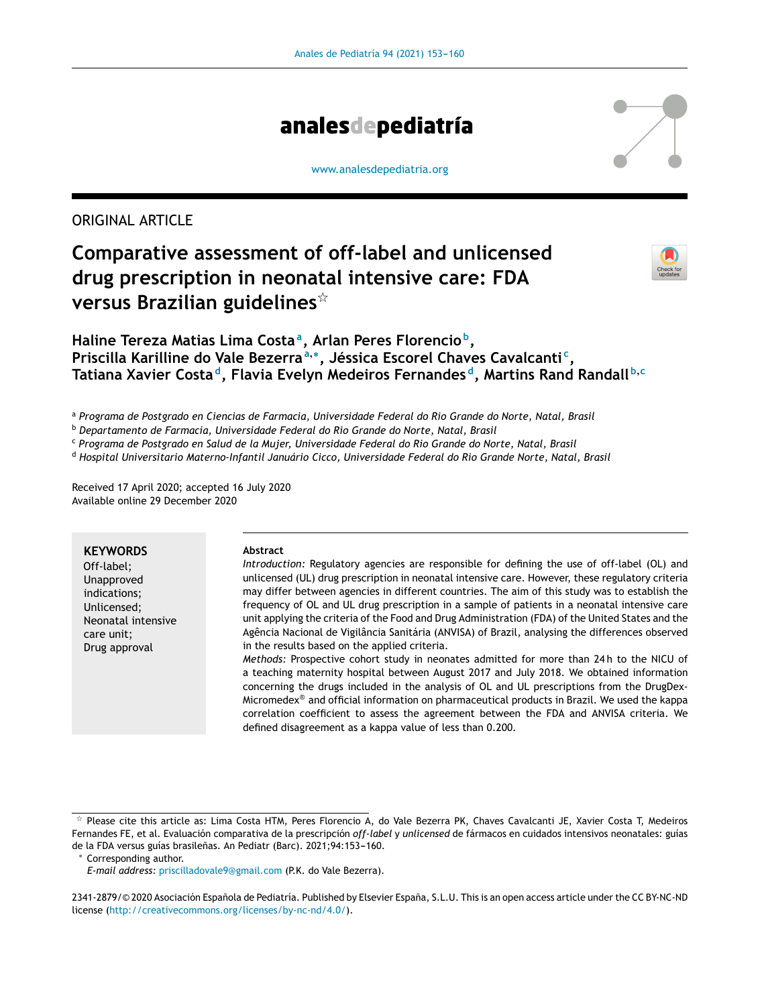

#### [www.analesdepediatria.org](http://www.analesdepediatria.org)

# ORIGINAL ARTICLE

# **Comparative assessment of off-label and unlicensed drug prescription in neonatal intensive care: FDA versus Brazilian guidelines**-



# **Haline Tereza Matias Lima Costa<sup>a</sup> , Arlan Peres Florencio <sup>b</sup> , Priscilla Karilline do Vale Bezerra<sup>a</sup>**,<sup>∗</sup> **, Jéssica Escorel Chaves Cavalcanti <sup>c</sup> , Tatiana Xavier Costa <sup>d</sup> , Flavia Evelyn Medeiros Fernandes <sup>d</sup> , Martins Rand Randall <sup>b</sup>**,**<sup>c</sup>**

<sup>a</sup> *Programa de Postgrado en Ciencias de Farmacia, Universidade Federal do Rio Grande do Norte, Natal, Brasil*

<sup>b</sup> *Departamento de Farmacia, Universidade Federal do Rio Grande do Norte, Natal, Brasil*

<sup>c</sup> *Programa de Postgrado en Salud de la Mujer, Universidade Federal do Rio Grande do Norte, Natal, Brasil*

<sup>d</sup> *Hospital Universitario Materno-Infantil Januário Cicco, Universidade Federal do Rio Grande Norte, Natal, Brasil*

Received 17 April 2020; accepted 16 July 2020 Available online 29 December 2020

## **KEYWORDS**

Off-label; Unapproved indications; Unlicensed; Neonatal intensive care unit; Drug approval

#### **Abstract**

*Introduction:* Regulatory agencies are responsible for defining the use of off-label (OL) and unlicensed (UL) drug prescription in neonatal intensive care. However, these regulatory criteria may differ between agencies in different countries. The aim of this study was to establish the frequency of OL and UL drug prescription in a sample of patients in a neonatal intensive care unit applying the criteria of the Food and Drug Administration (FDA) of the United States and the Agência Nacional de Vigilância Sanitária (ANVISA) of Brazil, analysing the differences observed in the results based on the applied criteria.

*Methods:* Prospective cohort study in neonates admitted for more than 24 h to the NICU of a teaching maternity hospital between August 2017 and July 2018. We obtained information concerning the drugs included in the analysis of OL and UL prescriptions from the DrugDex-Micromedex® and official information on pharmaceutical products in Brazil. We used the kappa correlation coefficient to assess the agreement between the FDA and ANVISA criteria. We defined disagreement as a kappa value of less than 0.200.

Corresponding author.

 $^\star$  Please cite this article as: Lima Costa HTM, Peres Florencio A, do Vale Bezerra PK, Chaves Cavalcanti JE, Xavier Costa T, Medeiros Fernandes FE, et al. Evaluación comparativa de la prescripción *off-label* y *unlicensed* de fármacos en cuidados intensivos neonatales: guías de la FDA versus guías brasileñas. An Pediatr (Barc). 2021;94:153-160.

*E-mail address:* [priscilladovale9@gmail.com](mailto:priscilladovale9@gmail.com) (P.K. do Vale Bezerra).

<sup>2341-2879/© 2020</sup> Asociación Española de Pediatría. Published by Elsevier España, S.L.U. This is an open access article under the CC BY-NC-ND license (<http://creativecommons.org/licenses/by-nc-nd/4.0/>).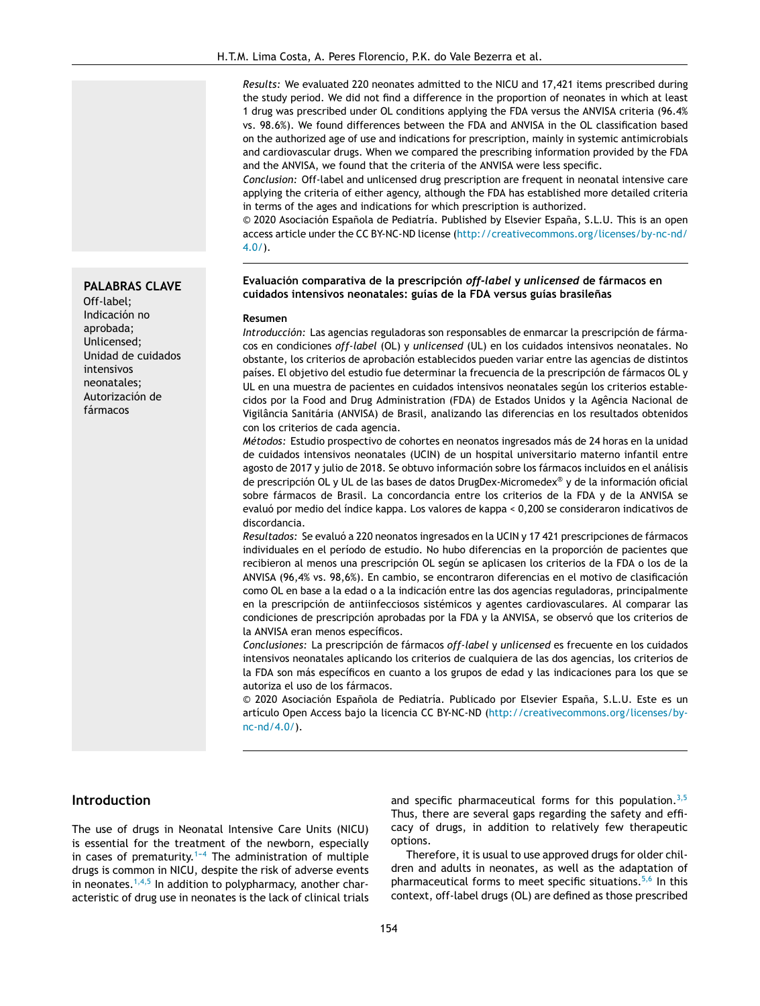*Results:* We evaluated 220 neonates admitted to the NICU and 17,421 items prescribed during the study period. We did not find a difference in the proportion of neonates in which at least 1 drug was prescribed under OL conditions applying the FDA versus the ANVISA criteria (96.4% vs. 98.6%). We found differences between the FDA and ANVISA in the OL classification based on the authorized age of use and indications for prescription, mainly in systemic antimicrobials and cardiovascular drugs. When we compared the prescribing information provided by the FDA and the ANVISA, we found that the criteria of the ANVISA were less specific.

*Conclusion:* Off-label and unlicensed drug prescription are frequent in neonatal intensive care applying the criteria of either agency, although the FDA has established more detailed criteria in terms of the ages and indications for which prescription is authorized.

 $©$  2020 Asociación Española de Pediatría. Published by Elsevier España, S.L.U. This is an open access article under the CC BY-NC-ND license ([http://creativecommons.org/licenses/by-nc-nd/](http://creativecommons.org/licenses/by-nc-nd/4.0/) [4.0/\)](http://creativecommons.org/licenses/by-nc-nd/4.0/).

#### **Evaluación comparativa de la prescripción** *off-label* **y** *unlicensed* **de fármacos en cuidados intensivos neonatales: guías de la FDA versus guías brasilenas ˜**

#### **Resumen**

*Introducción:* Las agencias reguladoras son responsables de enmarcar la prescripción de fármacos en condiciones *off-label* (OL) y *unlicensed* (UL) en los cuidados intensivos neonatales. No obstante, los criterios de aprobación establecidos pueden variar entre las agencias de distintos países. El objetivo del estudio fue determinar la frecuencia de la prescripción de fármacos OL y UL en una muestra de pacientes en cuidados intensivos neonatales según los criterios establecidos por la Food and Drug Administration (FDA) de Estados Unidos y la Agência Nacional de Vigilância Sanitária (ANVISA) de Brasil, analizando las diferencias en los resultados obtenidos con los criterios de cada agencia.

*Métodos:* Estudio prospectivo de cohortes en neonatos ingresados más de 24 horas en la unidad de cuidados intensivos neonatales (UCIN) de un hospital universitario materno infantil entre agosto de 2017 y julio de 2018. Se obtuvo información sobre los fármacos incluidos en el análisis de prescripción OL y UL de las bases de datos DrugDex-Micromedex® y de la información oficial sobre fármacos de Brasil. La concordancia entre los criterios de la FDA y de la ANVISA se evaluó por medio del índice kappa. Los valores de kappa < 0,200 se consideraron indicativos de discordancia.

*Resultados:* Se evaluó a 220 neonatos ingresados en la UCIN y 17 421 prescripciones de fármacos individuales en el período de estudio. No hubo diferencias en la proporción de pacientes que recibieron al menos una prescripción OL según se aplicasen los criterios de la FDA o los de la ANVISA (96,4% vs. 98,6%). En cambio, se encontraron diferencias en el motivo de clasificación como OL en base a la edad o a la indicación entre las dos agencias reguladoras, principalmente en la prescripción de antiinfecciosos sistémicos y agentes cardiovasculares. Al comparar las condiciones de prescripción aprobadas por la FDA y la ANVISA, se observó que los criterios de la ANVISA eran menos específicos.

*Conclusiones:* La prescripción de fármacos *off-label* y *unlicensed* es frecuente en los cuidados intensivos neonatales aplicando los criterios de cualquiera de las dos agencias, los criterios de la FDA son más específicos en cuanto a los grupos de edad y las indicaciones para los que se autoriza el uso de los fármacos.

© 2020 Asociación Española de Pediatría. Publicado por Elsevier España, S.L.U. Este es un artículo Open Access bajo la licencia CC BY-NC-ND [\(http://creativecommons.org/licenses/by](http://creativecommons.org/licenses/by-nc-nd/4.0/)[nc-nd/4.0/](http://creativecommons.org/licenses/by-nc-nd/4.0/)).

## **Introduction**

The use of drugs in Neonatal Intensive Care Units (NICU) is essential for the treatment of the newborn, especially in cases of prematurity.<sup>1-4</sup> The administration of multiple drugs is common in NICU, despite the risk of adverse events in neonates.  $1,4,5$  In addition to polypharmacy, another characteristic of drug use in neonates is the lack of clinical trials and specific pharmaceutical forms for this population. $3,5$ Thus, there are several gaps regarding the safety and efficacy of drugs, in addition to relatively few therapeutic options.

Therefore, it is usual to use approved drugs for older children and adults in neonates, as well as the adaptation of pharmaceutical forms to meet specific situations.<sup>[5,6](#page-6-0)</sup> In this context, off-label drugs (OL) are defined as those prescribed

**PALABRAS CLAVE** Off-label;

Indicación no aprobada; Unlicensed; Unidad de cuidados intensivos neonatales; Autorización de fármacos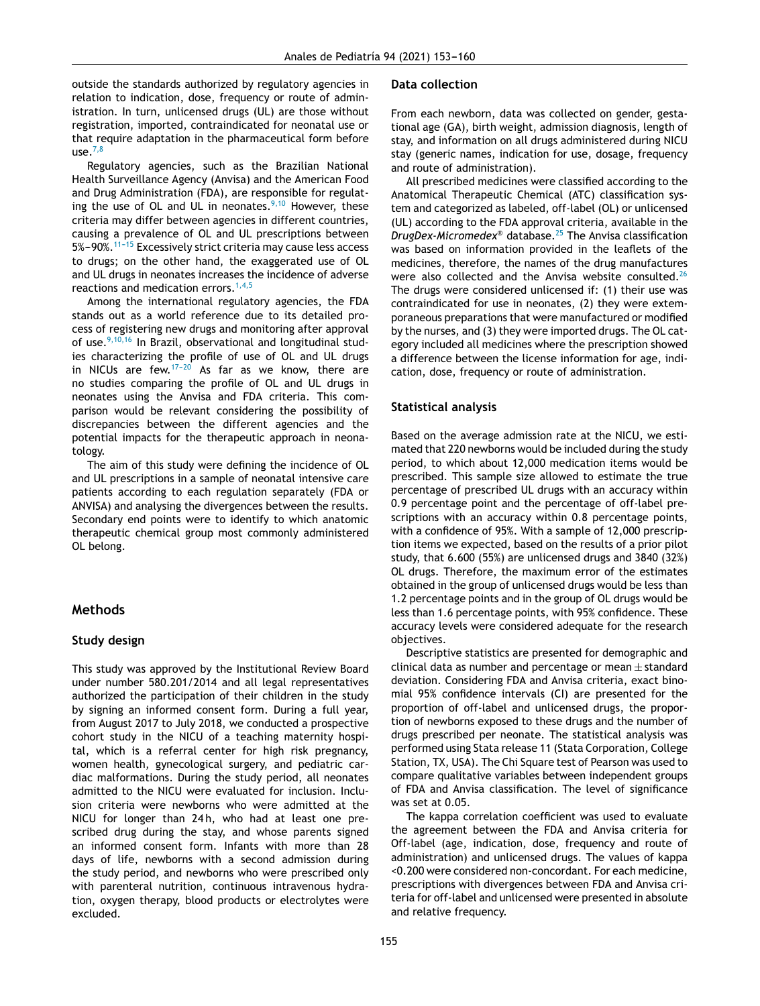outside the standards authorized by regulatory agencies in relation to indication, dose, frequency or route of administration. In turn, unlicensed drugs (UL) are those without registration, imported, contraindicated for neonatal use or that require adaptation in the pharmaceutical form before use. $^{7,8}$  $^{7,8}$  $^{7,8}$ 

Regulatory agencies, such as the Brazilian National Health Surveillance Agency (Anvisa) and the American Food and Drug Administration (FDA), are responsible for regulating the use of OL and UL in neonates. $9,10$  However, these criteria may differ between agencies in different countries, causing a prevalence of OL and UL prescriptions between 5%-90%.<sup>11-15</sup> Excessively strict criteria may cause less access to drugs; on the other hand, the exaggerated use of OL and UL drugs in neonates increases the incidence of adverse reactions and medication errors.<sup>[1,4,5](#page-6-0)</sup>

Among the international regulatory agencies, the FDA stands out as a world reference due to its detailed process of registering new drugs and monitoring after approval of use.<sup>[9,10,16](#page-6-0)</sup> In Brazil, observational and longitudinal studies characterizing the profile of use of OL and UL drugs in NICUs are few. $17-20$  As far as we know, there are no studies comparing the profile of OL and UL drugs in neonates using the Anvisa and FDA criteria. This comparison would be relevant considering the possibility of discrepancies between the different agencies and the potential impacts for the therapeutic approach in neonatology.

The aim of this study were defining the incidence of OL and UL prescriptions in a sample of neonatal intensive care patients according to each regulation separately (FDA or ANVISA) and analysing the divergences between the results. Secondary end points were to identify to which anatomic therapeutic chemical group most commonly administered OL belong.

# **Methods**

## **Study design**

This study was approved by the Institutional Review Board under number 580.201/2014 and all legal representatives authorized the participation of their children in the study by signing an informed consent form. During a full year, from August 2017 to July 2018, we conducted a prospective cohort study in the NICU of a teaching maternity hospital, which is a referral center for high risk pregnancy, women health, gynecological surgery, and pediatric cardiac malformations. During the study period, all neonates admitted to the NICU were evaluated for inclusion. Inclusion criteria were newborns who were admitted at the NICU for longer than 24h, who had at least one prescribed drug during the stay, and whose parents signed an informed consent form. Infants with more than 28 days of life, newborns with a second admission during the study period, and newborns who were prescribed only with parenteral nutrition, continuous intravenous hydration, oxygen therapy, blood products or electrolytes were excluded.

## **Data collection**

From each newborn, data was collected on gender, gestational age (GA), birth weight, admission diagnosis, length of stay, and information on all drugs administered during NICU stay (generic names, indication for use, dosage, frequency and route of administration).

All prescribed medicines were classified according to the Anatomical Therapeutic Chemical (ATC) classification system and categorized as labeled, off-label (OL) or unlicensed (UL) according to the FDA approval criteria, available in the *DrugDex-Micromedex*® database.[25](#page-6-0) The Anvisa classification was based on information provided in the leaflets of the medicines, therefore, the names of the drug manufactures were also collected and the Anvisa website consulted.<sup>[26](#page-6-0)</sup> The drugs were considered unlicensed if: (1) their use was contraindicated for use in neonates, (2) they were extemporaneous preparations that were manufactured or modified by the nurses, and (3) they were imported drugs. The OL category included all medicines where the prescription showed a difference between the license information for age, indication, dose, frequency or route of administration.

# **Statistical analysis**

Based on the average admission rate at the NICU, we estimated that 220 newborns would be included during the study period, to which about 12,000 medication items would be prescribed. This sample size allowed to estimate the true percentage of prescribed UL drugs with an accuracy within 0.9 percentage point and the percentage of off-label prescriptions with an accuracy within 0.8 percentage points, with a confidence of 95%. With a sample of 12,000 prescription items we expected, based on the results of a prior pilot study, that 6.600 (55%) are unlicensed drugs and 3840 (32%) OL drugs. Therefore, the maximum error of the estimates obtained in the group of unlicensed drugs would be less than 1.2 percentage points and in the group of OL drugs would be less than 1.6 percentage points, with 95% confidence. These accuracy levels were considered adequate for the research objectives.

Descriptive statistics are presented for demographic and clinical data as number and percentage or mean  $\pm$  standard deviation. Considering FDA and Anvisa criteria, exact binomial 95% confidence intervals (CI) are presented for the proportion of off-label and unlicensed drugs, the proportion of newborns exposed to these drugs and the number of drugs prescribed per neonate. The statistical analysis was performed using Stata release 11 (Stata Corporation, College Station, TX, USA). The Chi Square test of Pearson was used to compare qualitative variables between independent groups of FDA and Anvisa classification. The level of significance was set at 0.05.

The kappa correlation coefficient was used to evaluate the agreement between the FDA and Anvisa criteria for Off-label (age, indication, dose, frequency and route of administration) and unlicensed drugs. The values of kappa <0.200 were considered non-concordant. For each medicine, prescriptions with divergences between FDA and Anvisa criteria for off-label and unlicensed were presented in absolute and relative frequency.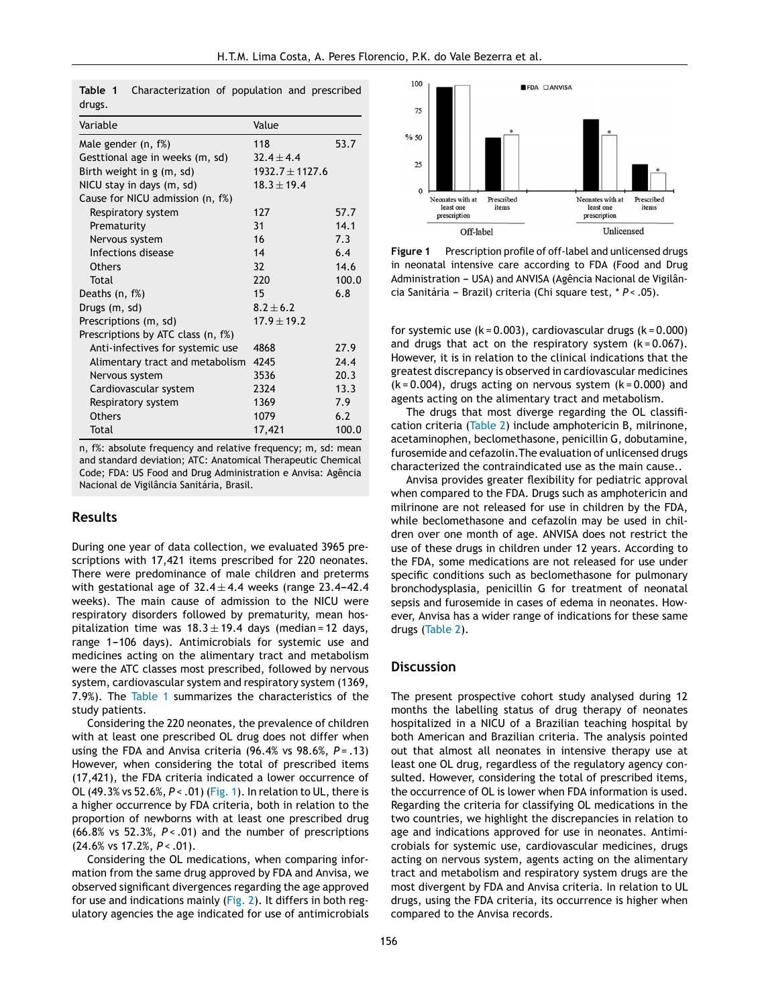| Variable                           | Value             |       |  |  |
|------------------------------------|-------------------|-------|--|--|
| Male gender (n, f%)                | 53.7<br>118       |       |  |  |
| Gesttional age in weeks (m, sd)    | $32.4 \pm 4.4$    |       |  |  |
| Birth weight in g (m, sd)          | $1932.7 + 1127.6$ |       |  |  |
| NICU stay in days (m, sd)          | $18.3 \pm 19.4$   |       |  |  |
| Cause for NICU admission (n, f%)   |                   |       |  |  |
| Respiratory system                 | 127               | 57.7  |  |  |
| Prematurity                        | 31                | 14.1  |  |  |
| Nervous system                     | 16                | 7.3   |  |  |
| Infections disease                 | 14                | 6.4   |  |  |
| <b>Others</b>                      | 32                | 14.6  |  |  |
| Total                              | 220               | 100.0 |  |  |
| Deaths (n, f%)                     | 15                | 6.8   |  |  |
| Drugs (m, sd)                      | $8.2 + 6.2$       |       |  |  |
| Prescriptions (m, sd)              | $17.9 \pm 19.2$   |       |  |  |
| Prescriptions by ATC class (n, f%) |                   |       |  |  |
| Anti-infectives for systemic use   | 4868              | 27.9  |  |  |
| Alimentary tract and metabolism    | 4245              | 24.4  |  |  |
| Nervous system                     | 3536              | 20.3  |  |  |
| Cardiovascular system              | 2324              | 13.3  |  |  |
| Respiratory system                 | 1369              | 7.9   |  |  |
| <b>Others</b>                      | 1079              | 6.2   |  |  |
| Total                              | 17,421            | 100.0 |  |  |
|                                    |                   |       |  |  |

**Table 1** Characterization of population and prescribed drugs.

n, f%: absolute frequency and relative frequency; m, sd: mean and standard deviation; ATC: Anatomical Therapeutic Chemical Code; FDA: US Food and Drug Administration e Anvisa: Agência Nacional de Vigilância Sanitária, Brasil.

### **Results**

During one year of data collection, we evaluated 3965 prescriptions with 17,421 items prescribed for 220 neonates. There were predominance of male children and preterms with gestational age of  $32.4 \pm 4.4$  weeks (range 23.4-42.4) weeks). The main cause of admission to the NICU were respiratory disorders followed by prematurity, mean hospitalization time was  $18.3 \pm 19.4$  days (median = 12 days, range 1-106 days). Antimicrobials for systemic use and medicines acting on the alimentary tract and metabolism were the ATC classes most prescribed, followed by nervous system, cardiovascular system and respiratory system (1369, 7.9%). The Table 1 summarizes the characteristics of the study patients.

Considering the 220 neonates, the prevalence of children with at least one prescribed OL drug does not differ when using the FDA and Anvisa criteria (96.4% vs 98.6%, *P* = .13) However, when considering the total of prescribed items (17,421), the FDA criteria indicated a lower occurrence of OL (49.3% vs 52.6%, *P* < .01) (Fig. 1). In relation to UL, there is a higher occurrence by FDA criteria, both in relation to the proportion of newborns with at least one prescribed drug (66.8% vs 52.3%, *P* < .01) and the number of prescriptions (24.6% vs 17.2%, *P* < .01).

Considering the OL medications, when comparing information from the same drug approved by FDA and Anvisa, we observed significant divergences regarding the age approved for use and indications mainly [\(Fig.](#page-4-0) 2). It differs in both regulatory agencies the age indicated for use of antimicrobials



**Figure 1** Prescription profile of off-label and unlicensed drugs in neonatal intensive care according to FDA (Food and Drug Administration - USA) and ANVISA (Agência Nacional de Vigilância Sanitária - Brazil) criteria (Chi square test, \* *P* < .05).

for systemic use  $(k = 0.003)$ , cardiovascular drugs  $(k = 0.000)$ and drugs that act on the respiratory system  $(k = 0.067)$ . However, it is in relation to the clinical indications that the greatest discrepancy is observed in cardiovascular medicines  $(k = 0.004)$ , drugs acting on nervous system  $(k = 0.000)$  and agents acting on the alimentary tract and metabolism.

The drugs that most diverge regarding the OL classification criteria [\(Table](#page-5-0) 2) include amphotericin B, milrinone, acetaminophen, beclomethasone, penicillin G, dobutamine, furosemide and cefazolin.The evaluation of unlicensed drugs characterized the contraindicated use as the main cause..

Anvisa provides greater flexibility for pediatric approval when compared to the FDA. Drugs such as amphotericin and milrinone are not released for use in children by the FDA, while beclomethasone and cefazolin may be used in children over one month of age. ANVISA does not restrict the use of these drugs in children under 12 years. According to the FDA, some medications are not released for use under specific conditions such as beclomethasone for pulmonary bronchodysplasia, penicillin G for treatment of neonatal sepsis and furosemide in cases of edema in neonates. However, Anvisa has a wider range of indications for these same drugs [\(Table](#page-5-0) 2).

#### **Discussion**

The present prospective cohort study analysed during 12 months the labelling status of drug therapy of neonates hospitalized in a NICU of a Brazilian teaching hospital by both American and Brazilian criteria. The analysis pointed out that almost all neonates in intensive therapy use at least one OL drug, regardless of the regulatory agency consulted. However, considering the total of prescribed items, the occurrence of OL is lower when FDA information is used. Regarding the criteria for classifying OL medications in the two countries, we highlight the discrepancies in relation to age and indications approved for use in neonates. Antimicrobials for systemic use, cardiovascular medicines, drugs acting on nervous system, agents acting on the alimentary tract and metabolism and respiratory system drugs are the most divergent by FDA and Anvisa criteria. In relation to UL drugs, using the FDA criteria, its occurrence is higher when compared to the Anvisa records.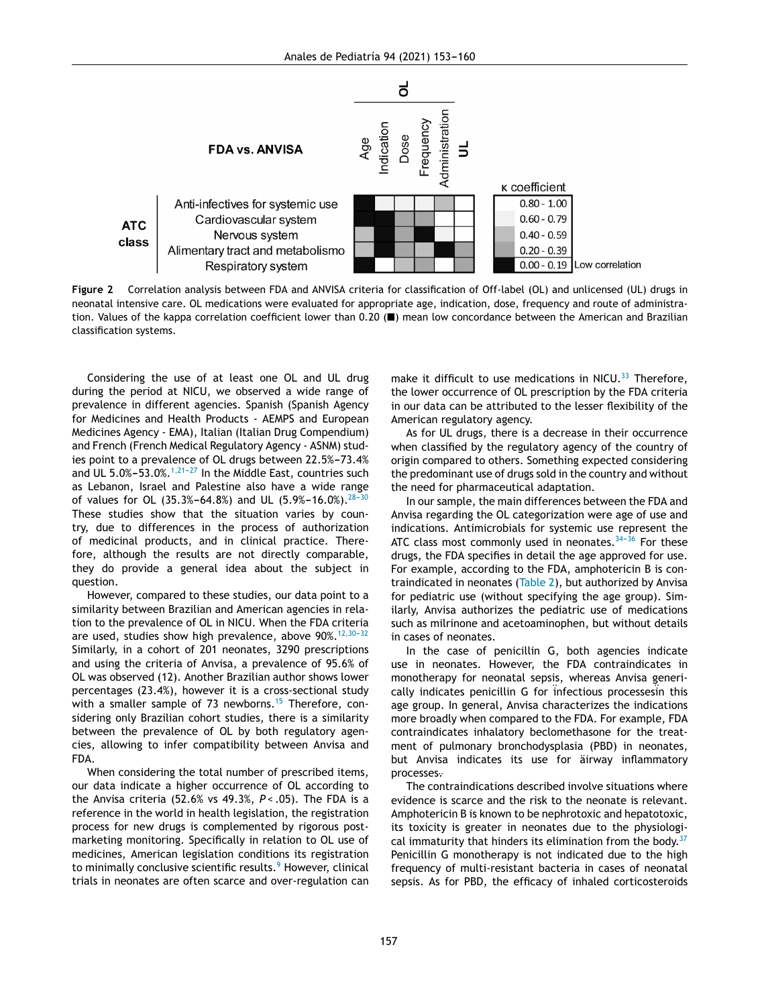<span id="page-4-0"></span>

**Figure 2** Correlation analysis between FDA and ANVISA criteria for classification of Off-label (OL) and unlicensed (UL) drugs in neonatal intensive care. OL medications were evaluated for appropriate age, indication, dose, frequency and route of administration. Values of the kappa correlation coefficient lower than 0.20 (■) mean low concordance between the American and Brazilian classification systems.

Considering the use of at least one OL and UL drug during the period at NICU, we observed a wide range of prevalence in different agencies. Spanish (Spanish Agency for Medicines and Health Products - AEMPS and European Medicines Agency - EMA), Italian (Italian Drug Compendium) and French (French Medical Regulatory Agency - ASNM) studies point to a prevalence of OL drugs between 22.5%-73.4% and UL  $5.0\% - 53.0\%$ .<sup>1,21-27</sup> In the Middle East, countries such as Lebanon, Israel and Palestine also have a wide range of values for OL (35.3%-64.8%) and UL (5.9%-16.0%).<sup>28-30</sup> These studies show that the situation varies by country, due to differences in the process of authorization of medicinal products, and in clinical practice. Therefore, although the results are not directly comparable, they do provide a general idea about the subject in question.

However, compared to these studies, our data point to a similarity between Brazilian and American agencies in relation to the prevalence of OL in NICU. When the FDA criteria are used, studies show high prevalence, above 90%.<sup>12,30-32</sup> Similarly, in a cohort of 201 neonates, 3290 prescriptions and using the criteria of Anvisa, a prevalence of 95.6% of OL was observed (12). Another Brazilian author shows lower percentages (23.4%), however it is a cross-sectional study with a smaller sample of 73 newborns.<sup>[15](#page-6-0)</sup> Therefore, considering only Brazilian cohort studies, there is a similarity between the prevalence of OL by both regulatory agencies, allowing to infer compatibility between Anvisa and FDA.

When considering the total number of prescribed items, our data indicate a higher occurrence of OL according to the Anvisa criteria (52.6% vs 49.3%, *P* < .05). The FDA is a reference in the world in health legislation, the registration process for new drugs is complemented by rigorous postmarketing monitoring. Specifically in relation to OL use of medicines, American legislation conditions its registration to minimally conclusive scientific results.<sup>[9](#page-6-0)</sup> However, clinical trials in neonates are often scarce and over-regulation can make it difficult to use medications in NICU. $33$  Therefore, the lower occurrence of OL prescription by the FDA criteria in our data can be attributed to the lesser flexibility of the American regulatory agency.

As for UL drugs, there is a decrease in their occurrence when classified by the regulatory agency of the country of origin compared to others. Something expected considering the predominant use of drugs sold in the country and without the need for pharmaceutical adaptation.

In our sample, the main differences between the FDA and Anvisa regarding the OL categorization were age of use and indications. Antimicrobials for systemic use represent the ATC class most commonly used in neonates.  $34-36$  For these drugs, the FDA specifies in detail the age approved for use. For example, according to the FDA, amphotericin B is contraindicated in neonates ([Table](#page-5-0) 2), but authorized by Anvisa for pediatric use (without specifying the age group). Similarly, Anvisa authorizes the pediatric use of medications such as milrinone and acetoaminophen, but without details in cases of neonates.

In the case of penicillin G, both agencies indicate use in neonates. However, the FDA contraindicates in monotherapy for neonatal sepsis, whereas Anvisa generically indicates penicillin G for infectious processesin this age group. In general, Anvisa characterizes the indications more broadly when compared to the FDA. For example, FDA contraindicates inhalatory beclomethasone for the treatment of pulmonary bronchodysplasia (PBD) in neonates, but Anvisa indicates its use for äirway inflammatory processes<sup>.</sup>

The contraindications described involve situations where evidence is scarce and the risk to the neonate is relevant. Amphotericin B is known to be nephrotoxic and hepatotoxic, its toxicity is greater in neonates due to the physiological immaturity that hinders its elimination from the body. $37$ Penicillin G monotherapy is not indicated due to the high frequency of multi-resistant bacteria in cases of neonatal sepsis. As for PBD, the efficacy of inhaled corticosteroids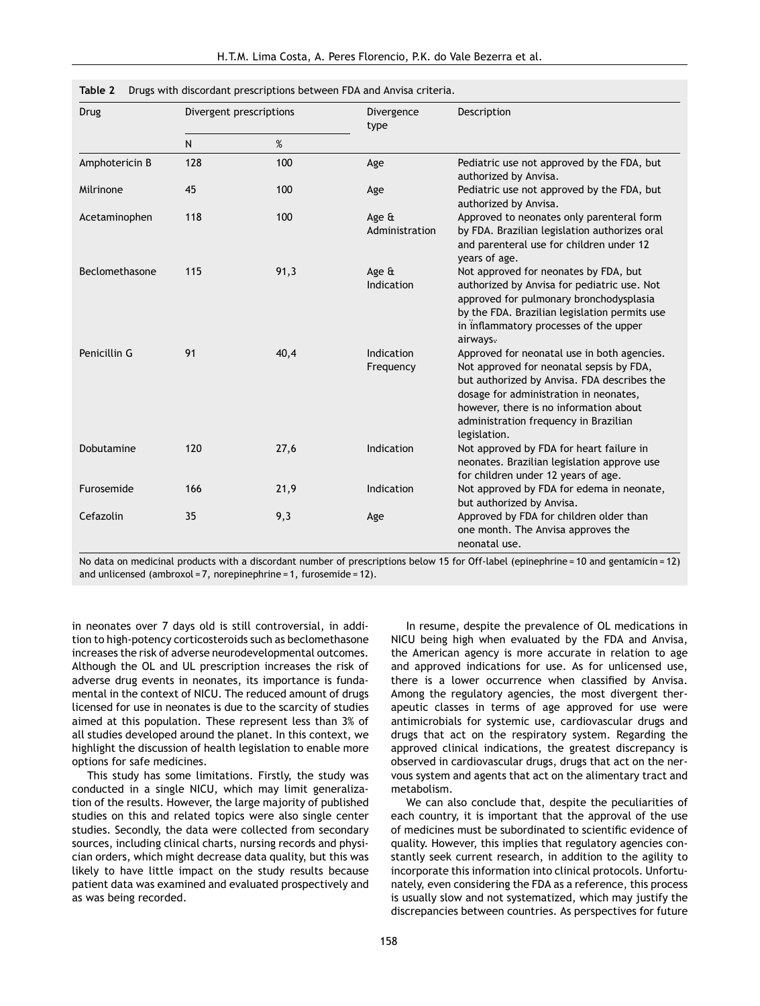| Drug           | Divergent prescriptions |      | Divergence<br>type      | Description                                                                                                                                                                                                                                                                         |  |  |
|----------------|-------------------------|------|-------------------------|-------------------------------------------------------------------------------------------------------------------------------------------------------------------------------------------------------------------------------------------------------------------------------------|--|--|
|                | $\mathsf{N}$            | %    |                         |                                                                                                                                                                                                                                                                                     |  |  |
| Amphotericin B | 128                     | 100  | Age                     | Pediatric use not approved by the FDA, but<br>authorized by Anvisa.                                                                                                                                                                                                                 |  |  |
| Milrinone      | 45                      | 100  | Age                     | Pediatric use not approved by the FDA, but<br>authorized by Anvisa.                                                                                                                                                                                                                 |  |  |
| Acetaminophen  | 118                     | 100  | Age &<br>Administration | Approved to neonates only parenteral form<br>by FDA. Brazilian legislation authorizes oral<br>and parenteral use for children under 12<br>years of age.                                                                                                                             |  |  |
| Beclomethasone | 115                     | 91,3 | Age &<br>Indication     | Not approved for neonates by FDA, but<br>authorized by Anvisa for pediatric use. Not<br>approved for pulmonary bronchodysplasia<br>by the FDA. Brazilian legislation permits use<br>in inflammatory processes of the upper<br>airways.                                              |  |  |
| Penicillin G   | 91                      | 40,4 | Indication<br>Frequency | Approved for neonatal use in both agencies.<br>Not approved for neonatal sepsis by FDA,<br>but authorized by Anvisa. FDA describes the<br>dosage for administration in neonates,<br>however, there is no information about<br>administration frequency in Brazilian<br>legislation. |  |  |
| Dobutamine     | 120                     | 27,6 | Indication              | Not approved by FDA for heart failure in<br>neonates. Brazilian legislation approve use<br>for children under 12 years of age.                                                                                                                                                      |  |  |
| Furosemide     | 166                     | 21,9 | Indication              | Not approved by FDA for edema in neonate,<br>but authorized by Anvisa.                                                                                                                                                                                                              |  |  |
| Cefazolin      | 35                      | 9,3  | Age                     | Approved by FDA for children older than<br>one month. The Anvisa approves the<br>neonatal use.                                                                                                                                                                                      |  |  |

<span id="page-5-0"></span>

|  |  |  | Table 2 Drugs with discordant prescriptions between FDA and Anvisa criteria. |  |  |  |  |
|--|--|--|------------------------------------------------------------------------------|--|--|--|--|
|--|--|--|------------------------------------------------------------------------------|--|--|--|--|

No data on medicinal products with a discordant number of prescriptions below 15 for Off-label (epinephrine = 10 and gentamicin = 12) and unlicensed (ambroxol = 7, norepinephrine = 1, furosemide = 12).

in neonates over 7 days old is still controversial, in addition to high-potency corticosteroids such as beclomethasone increases the risk of adverse neurodevelopmental outcomes. Although the OL and UL prescription increases the risk of adverse drug events in neonates, its importance is fundamental in the context of NICU. The reduced amount of drugs licensed for use in neonates is due to the scarcity of studies aimed at this population. These represent less than 3% of all studies developed around the planet. In this context, we highlight the discussion of health legislation to enable more options for safe medicines.

This study has some limitations. Firstly, the study was conducted in a single NICU, which may limit generalization of the results. However, the large majority of published studies on this and related topics were also single center studies. Secondly, the data were collected from secondary sources, including clinical charts, nursing records and physician orders, which might decrease data quality, but this was likely to have little impact on the study results because patient data was examined and evaluated prospectively and as was being recorded.

In resume, despite the prevalence of OL medications in NICU being high when evaluated by the FDA and Anvisa, the American agency is more accurate in relation to age and approved indications for use. As for unlicensed use, there is a lower occurrence when classified by Anvisa. Among the regulatory agencies, the most divergent therapeutic classes in terms of age approved for use were antimicrobials for systemic use, cardiovascular drugs and drugs that act on the respiratory system. Regarding the approved clinical indications, the greatest discrepancy is observed in cardiovascular drugs, drugs that act on the nervous system and agents that act on the alimentary tract and metabolism.

We can also conclude that, despite the peculiarities of each country, it is important that the approval of the use of medicines must be subordinated to scientific evidence of quality. However, this implies that regulatory agencies constantly seek current research, in addition to the agility to incorporate this information into clinical protocols. Unfortunately, even considering the FDA as a reference, this process is usually slow and not systematized, which may justify the discrepancies between countries. As perspectives for future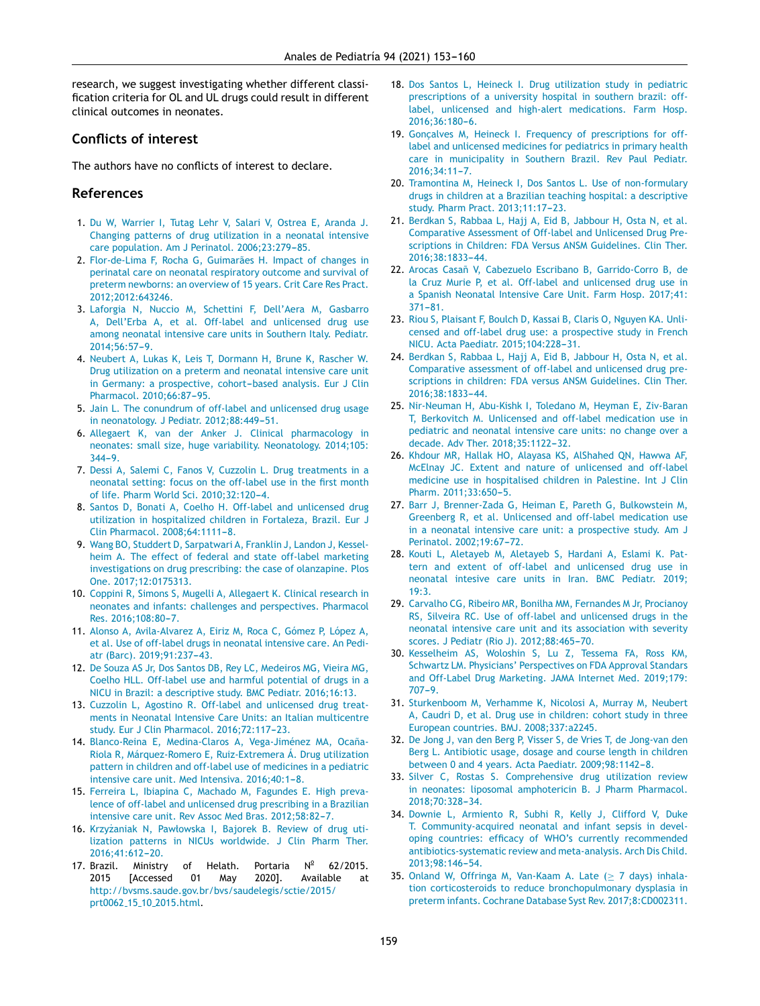<span id="page-6-0"></span>research, we suggest investigating whether different classification criteria for OL and UL drugs could result in different clinical outcomes in neonates.

# **Conflicts of interest**

The authors have no conflicts of interest to declare.

# **References**

- 1. [Du](http://refhub.elsevier.com/S2341-2879(20)30258-1/sbref0005) [W,](http://refhub.elsevier.com/S2341-2879(20)30258-1/sbref0005) [Warrier](http://refhub.elsevier.com/S2341-2879(20)30258-1/sbref0005) [I,](http://refhub.elsevier.com/S2341-2879(20)30258-1/sbref0005) [Tutag](http://refhub.elsevier.com/S2341-2879(20)30258-1/sbref0005) [Lehr](http://refhub.elsevier.com/S2341-2879(20)30258-1/sbref0005) [V,](http://refhub.elsevier.com/S2341-2879(20)30258-1/sbref0005) [Salari](http://refhub.elsevier.com/S2341-2879(20)30258-1/sbref0005) [V,](http://refhub.elsevier.com/S2341-2879(20)30258-1/sbref0005) [Ostrea](http://refhub.elsevier.com/S2341-2879(20)30258-1/sbref0005) [E,](http://refhub.elsevier.com/S2341-2879(20)30258-1/sbref0005) [Aranda](http://refhub.elsevier.com/S2341-2879(20)30258-1/sbref0005) [J.](http://refhub.elsevier.com/S2341-2879(20)30258-1/sbref0005) [Changing](http://refhub.elsevier.com/S2341-2879(20)30258-1/sbref0005) [patterns](http://refhub.elsevier.com/S2341-2879(20)30258-1/sbref0005) [of](http://refhub.elsevier.com/S2341-2879(20)30258-1/sbref0005) [drug](http://refhub.elsevier.com/S2341-2879(20)30258-1/sbref0005) [utilization](http://refhub.elsevier.com/S2341-2879(20)30258-1/sbref0005) [in](http://refhub.elsevier.com/S2341-2879(20)30258-1/sbref0005) [a](http://refhub.elsevier.com/S2341-2879(20)30258-1/sbref0005) [neonatal](http://refhub.elsevier.com/S2341-2879(20)30258-1/sbref0005) [intensive](http://refhub.elsevier.com/S2341-2879(20)30258-1/sbref0005) [care](http://refhub.elsevier.com/S2341-2879(20)30258-1/sbref0005) [population.](http://refhub.elsevier.com/S2341-2879(20)30258-1/sbref0005) [Am](http://refhub.elsevier.com/S2341-2879(20)30258-1/sbref0005) [J](http://refhub.elsevier.com/S2341-2879(20)30258-1/sbref0005) [Perinatol.](http://refhub.elsevier.com/S2341-2879(20)30258-1/sbref0005) [2006;23:279](http://refhub.elsevier.com/S2341-2879(20)30258-1/sbref0005)-[85.](http://refhub.elsevier.com/S2341-2879(20)30258-1/sbref0005)
- 2. [Flor-de-Lima](http://refhub.elsevier.com/S2341-2879(20)30258-1/sbref0010) [F,](http://refhub.elsevier.com/S2341-2879(20)30258-1/sbref0010) [Rocha](http://refhub.elsevier.com/S2341-2879(20)30258-1/sbref0010) [G,](http://refhub.elsevier.com/S2341-2879(20)30258-1/sbref0010) [Guimarães](http://refhub.elsevier.com/S2341-2879(20)30258-1/sbref0010) [H.](http://refhub.elsevier.com/S2341-2879(20)30258-1/sbref0010) [Impact](http://refhub.elsevier.com/S2341-2879(20)30258-1/sbref0010) [of](http://refhub.elsevier.com/S2341-2879(20)30258-1/sbref0010) [changes](http://refhub.elsevier.com/S2341-2879(20)30258-1/sbref0010) [in](http://refhub.elsevier.com/S2341-2879(20)30258-1/sbref0010) [perinatal](http://refhub.elsevier.com/S2341-2879(20)30258-1/sbref0010) [care](http://refhub.elsevier.com/S2341-2879(20)30258-1/sbref0010) [on](http://refhub.elsevier.com/S2341-2879(20)30258-1/sbref0010) [neonatal](http://refhub.elsevier.com/S2341-2879(20)30258-1/sbref0010) [respiratory](http://refhub.elsevier.com/S2341-2879(20)30258-1/sbref0010) [outcome](http://refhub.elsevier.com/S2341-2879(20)30258-1/sbref0010) [and](http://refhub.elsevier.com/S2341-2879(20)30258-1/sbref0010) [survival](http://refhub.elsevier.com/S2341-2879(20)30258-1/sbref0010) [of](http://refhub.elsevier.com/S2341-2879(20)30258-1/sbref0010) [preterm](http://refhub.elsevier.com/S2341-2879(20)30258-1/sbref0010) [newborns:](http://refhub.elsevier.com/S2341-2879(20)30258-1/sbref0010) [an](http://refhub.elsevier.com/S2341-2879(20)30258-1/sbref0010) [overview](http://refhub.elsevier.com/S2341-2879(20)30258-1/sbref0010) [of](http://refhub.elsevier.com/S2341-2879(20)30258-1/sbref0010) [15](http://refhub.elsevier.com/S2341-2879(20)30258-1/sbref0010) [years.](http://refhub.elsevier.com/S2341-2879(20)30258-1/sbref0010) [Crit](http://refhub.elsevier.com/S2341-2879(20)30258-1/sbref0010) [Care](http://refhub.elsevier.com/S2341-2879(20)30258-1/sbref0010) [Res](http://refhub.elsevier.com/S2341-2879(20)30258-1/sbref0010) [Pract.](http://refhub.elsevier.com/S2341-2879(20)30258-1/sbref0010) [2012;2012:643246.](http://refhub.elsevier.com/S2341-2879(20)30258-1/sbref0010)
- 3. [Laforgia](http://refhub.elsevier.com/S2341-2879(20)30258-1/sbref0015) [N,](http://refhub.elsevier.com/S2341-2879(20)30258-1/sbref0015) [Nuccio](http://refhub.elsevier.com/S2341-2879(20)30258-1/sbref0015) [M,](http://refhub.elsevier.com/S2341-2879(20)30258-1/sbref0015) [Schettini](http://refhub.elsevier.com/S2341-2879(20)30258-1/sbref0015) [F,](http://refhub.elsevier.com/S2341-2879(20)30258-1/sbref0015) [Dell'Aera](http://refhub.elsevier.com/S2341-2879(20)30258-1/sbref0015) [M,](http://refhub.elsevier.com/S2341-2879(20)30258-1/sbref0015) [Gasbarro](http://refhub.elsevier.com/S2341-2879(20)30258-1/sbref0015) [A,](http://refhub.elsevier.com/S2341-2879(20)30258-1/sbref0015) [Dell'Erba](http://refhub.elsevier.com/S2341-2879(20)30258-1/sbref0015) [A,](http://refhub.elsevier.com/S2341-2879(20)30258-1/sbref0015) [et](http://refhub.elsevier.com/S2341-2879(20)30258-1/sbref0015) [al.](http://refhub.elsevier.com/S2341-2879(20)30258-1/sbref0015) [Off-label](http://refhub.elsevier.com/S2341-2879(20)30258-1/sbref0015) [and](http://refhub.elsevier.com/S2341-2879(20)30258-1/sbref0015) [unlicensed](http://refhub.elsevier.com/S2341-2879(20)30258-1/sbref0015) [drug](http://refhub.elsevier.com/S2341-2879(20)30258-1/sbref0015) [use](http://refhub.elsevier.com/S2341-2879(20)30258-1/sbref0015) [among](http://refhub.elsevier.com/S2341-2879(20)30258-1/sbref0015) [neonatal](http://refhub.elsevier.com/S2341-2879(20)30258-1/sbref0015) [intensive](http://refhub.elsevier.com/S2341-2879(20)30258-1/sbref0015) [care](http://refhub.elsevier.com/S2341-2879(20)30258-1/sbref0015) [units](http://refhub.elsevier.com/S2341-2879(20)30258-1/sbref0015) [in](http://refhub.elsevier.com/S2341-2879(20)30258-1/sbref0015) [Southern](http://refhub.elsevier.com/S2341-2879(20)30258-1/sbref0015) [Italy.](http://refhub.elsevier.com/S2341-2879(20)30258-1/sbref0015) [Pediatr.](http://refhub.elsevier.com/S2341-2879(20)30258-1/sbref0015) 2014;56:57-9.
- 4. [Neubert](http://refhub.elsevier.com/S2341-2879(20)30258-1/sbref0020) [A,](http://refhub.elsevier.com/S2341-2879(20)30258-1/sbref0020) [Lukas](http://refhub.elsevier.com/S2341-2879(20)30258-1/sbref0020) [K,](http://refhub.elsevier.com/S2341-2879(20)30258-1/sbref0020) [Leis](http://refhub.elsevier.com/S2341-2879(20)30258-1/sbref0020) [T,](http://refhub.elsevier.com/S2341-2879(20)30258-1/sbref0020) [Dormann](http://refhub.elsevier.com/S2341-2879(20)30258-1/sbref0020) [H,](http://refhub.elsevier.com/S2341-2879(20)30258-1/sbref0020) [Brune](http://refhub.elsevier.com/S2341-2879(20)30258-1/sbref0020) [K,](http://refhub.elsevier.com/S2341-2879(20)30258-1/sbref0020) [Rascher](http://refhub.elsevier.com/S2341-2879(20)30258-1/sbref0020) [W.](http://refhub.elsevier.com/S2341-2879(20)30258-1/sbref0020) [Drug](http://refhub.elsevier.com/S2341-2879(20)30258-1/sbref0020) [utilization](http://refhub.elsevier.com/S2341-2879(20)30258-1/sbref0020) [on](http://refhub.elsevier.com/S2341-2879(20)30258-1/sbref0020) [a](http://refhub.elsevier.com/S2341-2879(20)30258-1/sbref0020) [preterm](http://refhub.elsevier.com/S2341-2879(20)30258-1/sbref0020) [and](http://refhub.elsevier.com/S2341-2879(20)30258-1/sbref0020) [neonatal](http://refhub.elsevier.com/S2341-2879(20)30258-1/sbref0020) [intensive](http://refhub.elsevier.com/S2341-2879(20)30258-1/sbref0020) [care](http://refhub.elsevier.com/S2341-2879(20)30258-1/sbref0020) [unit](http://refhub.elsevier.com/S2341-2879(20)30258-1/sbref0020) [in](http://refhub.elsevier.com/S2341-2879(20)30258-1/sbref0020) [Germany:](http://refhub.elsevier.com/S2341-2879(20)30258-1/sbref0020) [a](http://refhub.elsevier.com/S2341-2879(20)30258-1/sbref0020) [prospective,](http://refhub.elsevier.com/S2341-2879(20)30258-1/sbref0020) cohort-based [analysis.](http://refhub.elsevier.com/S2341-2879(20)30258-1/sbref0020) [Eur](http://refhub.elsevier.com/S2341-2879(20)30258-1/sbref0020) [J](http://refhub.elsevier.com/S2341-2879(20)30258-1/sbref0020) [Clin](http://refhub.elsevier.com/S2341-2879(20)30258-1/sbref0020) [Pharmacol.](http://refhub.elsevier.com/S2341-2879(20)30258-1/sbref0020) 2010;66:87-95.
- 5. [Jain](http://refhub.elsevier.com/S2341-2879(20)30258-1/sbref0025) [L.](http://refhub.elsevier.com/S2341-2879(20)30258-1/sbref0025) [The](http://refhub.elsevier.com/S2341-2879(20)30258-1/sbref0025) [conundrum](http://refhub.elsevier.com/S2341-2879(20)30258-1/sbref0025) [of](http://refhub.elsevier.com/S2341-2879(20)30258-1/sbref0025) [off-label](http://refhub.elsevier.com/S2341-2879(20)30258-1/sbref0025) [and](http://refhub.elsevier.com/S2341-2879(20)30258-1/sbref0025) [unlicensed](http://refhub.elsevier.com/S2341-2879(20)30258-1/sbref0025) [drug](http://refhub.elsevier.com/S2341-2879(20)30258-1/sbref0025) [usage](http://refhub.elsevier.com/S2341-2879(20)30258-1/sbref0025) [in](http://refhub.elsevier.com/S2341-2879(20)30258-1/sbref0025) [neonatology.](http://refhub.elsevier.com/S2341-2879(20)30258-1/sbref0025) [J](http://refhub.elsevier.com/S2341-2879(20)30258-1/sbref0025) [Pediatr.](http://refhub.elsevier.com/S2341-2879(20)30258-1/sbref0025) 2012;88:449-51.
- 6. [Allegaert](http://refhub.elsevier.com/S2341-2879(20)30258-1/sbref0030) [K,](http://refhub.elsevier.com/S2341-2879(20)30258-1/sbref0030) [van](http://refhub.elsevier.com/S2341-2879(20)30258-1/sbref0030) [der](http://refhub.elsevier.com/S2341-2879(20)30258-1/sbref0030) [Anker](http://refhub.elsevier.com/S2341-2879(20)30258-1/sbref0030) [J.](http://refhub.elsevier.com/S2341-2879(20)30258-1/sbref0030) [Clinical](http://refhub.elsevier.com/S2341-2879(20)30258-1/sbref0030) [pharmacology](http://refhub.elsevier.com/S2341-2879(20)30258-1/sbref0030) [in](http://refhub.elsevier.com/S2341-2879(20)30258-1/sbref0030) [neonates:](http://refhub.elsevier.com/S2341-2879(20)30258-1/sbref0030) [small](http://refhub.elsevier.com/S2341-2879(20)30258-1/sbref0030) [size,](http://refhub.elsevier.com/S2341-2879(20)30258-1/sbref0030) [huge](http://refhub.elsevier.com/S2341-2879(20)30258-1/sbref0030) [variability.](http://refhub.elsevier.com/S2341-2879(20)30258-1/sbref0030) [Neonatology.](http://refhub.elsevier.com/S2341-2879(20)30258-1/sbref0030) [2014;105:](http://refhub.elsevier.com/S2341-2879(20)30258-1/sbref0030)  $344 - 9$ .
- 7. [Dessi](http://refhub.elsevier.com/S2341-2879(20)30258-1/sbref0035) [A,](http://refhub.elsevier.com/S2341-2879(20)30258-1/sbref0035) [Salemi](http://refhub.elsevier.com/S2341-2879(20)30258-1/sbref0035) [C,](http://refhub.elsevier.com/S2341-2879(20)30258-1/sbref0035) [Fanos](http://refhub.elsevier.com/S2341-2879(20)30258-1/sbref0035) [V,](http://refhub.elsevier.com/S2341-2879(20)30258-1/sbref0035) [Cuzzolin](http://refhub.elsevier.com/S2341-2879(20)30258-1/sbref0035) [L.](http://refhub.elsevier.com/S2341-2879(20)30258-1/sbref0035) [Drug](http://refhub.elsevier.com/S2341-2879(20)30258-1/sbref0035) [treatments](http://refhub.elsevier.com/S2341-2879(20)30258-1/sbref0035) [in](http://refhub.elsevier.com/S2341-2879(20)30258-1/sbref0035) [a](http://refhub.elsevier.com/S2341-2879(20)30258-1/sbref0035) [neonatal](http://refhub.elsevier.com/S2341-2879(20)30258-1/sbref0035) [setting:](http://refhub.elsevier.com/S2341-2879(20)30258-1/sbref0035) [focus](http://refhub.elsevier.com/S2341-2879(20)30258-1/sbref0035) [on](http://refhub.elsevier.com/S2341-2879(20)30258-1/sbref0035) [the](http://refhub.elsevier.com/S2341-2879(20)30258-1/sbref0035) [off-label](http://refhub.elsevier.com/S2341-2879(20)30258-1/sbref0035) [use](http://refhub.elsevier.com/S2341-2879(20)30258-1/sbref0035) [in](http://refhub.elsevier.com/S2341-2879(20)30258-1/sbref0035) [the](http://refhub.elsevier.com/S2341-2879(20)30258-1/sbref0035) [first](http://refhub.elsevier.com/S2341-2879(20)30258-1/sbref0035) [month](http://refhub.elsevier.com/S2341-2879(20)30258-1/sbref0035) [of](http://refhub.elsevier.com/S2341-2879(20)30258-1/sbref0035) [life.](http://refhub.elsevier.com/S2341-2879(20)30258-1/sbref0035) [Pharm](http://refhub.elsevier.com/S2341-2879(20)30258-1/sbref0035) [World](http://refhub.elsevier.com/S2341-2879(20)30258-1/sbref0035) [Sci.](http://refhub.elsevier.com/S2341-2879(20)30258-1/sbref0035) 2010;32:120-4.
- 8. [Santos](http://refhub.elsevier.com/S2341-2879(20)30258-1/sbref0040) [D,](http://refhub.elsevier.com/S2341-2879(20)30258-1/sbref0040) [Bonati](http://refhub.elsevier.com/S2341-2879(20)30258-1/sbref0040) [A,](http://refhub.elsevier.com/S2341-2879(20)30258-1/sbref0040) [Coelho](http://refhub.elsevier.com/S2341-2879(20)30258-1/sbref0040) [H.](http://refhub.elsevier.com/S2341-2879(20)30258-1/sbref0040) [Off-label](http://refhub.elsevier.com/S2341-2879(20)30258-1/sbref0040) [and](http://refhub.elsevier.com/S2341-2879(20)30258-1/sbref0040) [unlicensed](http://refhub.elsevier.com/S2341-2879(20)30258-1/sbref0040) [drug](http://refhub.elsevier.com/S2341-2879(20)30258-1/sbref0040) [utilization](http://refhub.elsevier.com/S2341-2879(20)30258-1/sbref0040) [in](http://refhub.elsevier.com/S2341-2879(20)30258-1/sbref0040) [hospitalized](http://refhub.elsevier.com/S2341-2879(20)30258-1/sbref0040) [children](http://refhub.elsevier.com/S2341-2879(20)30258-1/sbref0040) [in](http://refhub.elsevier.com/S2341-2879(20)30258-1/sbref0040) [Fortaleza,](http://refhub.elsevier.com/S2341-2879(20)30258-1/sbref0040) [Brazil.](http://refhub.elsevier.com/S2341-2879(20)30258-1/sbref0040) [Eur](http://refhub.elsevier.com/S2341-2879(20)30258-1/sbref0040) [J](http://refhub.elsevier.com/S2341-2879(20)30258-1/sbref0040) [Clin](http://refhub.elsevier.com/S2341-2879(20)30258-1/sbref0040) [Pharmacol.](http://refhub.elsevier.com/S2341-2879(20)30258-1/sbref0040) [2008;64:1111](http://refhub.elsevier.com/S2341-2879(20)30258-1/sbref0040)-[8.](http://refhub.elsevier.com/S2341-2879(20)30258-1/sbref0040)
- 9. [Wang](http://refhub.elsevier.com/S2341-2879(20)30258-1/sbref0045) [BO,](http://refhub.elsevier.com/S2341-2879(20)30258-1/sbref0045) [Studdert](http://refhub.elsevier.com/S2341-2879(20)30258-1/sbref0045) [D,](http://refhub.elsevier.com/S2341-2879(20)30258-1/sbref0045) [Sarpatwari](http://refhub.elsevier.com/S2341-2879(20)30258-1/sbref0045) [A,](http://refhub.elsevier.com/S2341-2879(20)30258-1/sbref0045) [Franklin](http://refhub.elsevier.com/S2341-2879(20)30258-1/sbref0045) [J,](http://refhub.elsevier.com/S2341-2879(20)30258-1/sbref0045) [Landon](http://refhub.elsevier.com/S2341-2879(20)30258-1/sbref0045) [J,](http://refhub.elsevier.com/S2341-2879(20)30258-1/sbref0045) [Kessel](http://refhub.elsevier.com/S2341-2879(20)30258-1/sbref0045)[heim](http://refhub.elsevier.com/S2341-2879(20)30258-1/sbref0045) [A.](http://refhub.elsevier.com/S2341-2879(20)30258-1/sbref0045) [The](http://refhub.elsevier.com/S2341-2879(20)30258-1/sbref0045) [effect](http://refhub.elsevier.com/S2341-2879(20)30258-1/sbref0045) [of](http://refhub.elsevier.com/S2341-2879(20)30258-1/sbref0045) [federal](http://refhub.elsevier.com/S2341-2879(20)30258-1/sbref0045) [and](http://refhub.elsevier.com/S2341-2879(20)30258-1/sbref0045) [state](http://refhub.elsevier.com/S2341-2879(20)30258-1/sbref0045) [off-label](http://refhub.elsevier.com/S2341-2879(20)30258-1/sbref0045) [marketing](http://refhub.elsevier.com/S2341-2879(20)30258-1/sbref0045) [investigations](http://refhub.elsevier.com/S2341-2879(20)30258-1/sbref0045) [on](http://refhub.elsevier.com/S2341-2879(20)30258-1/sbref0045) [drug](http://refhub.elsevier.com/S2341-2879(20)30258-1/sbref0045) [prescribing:](http://refhub.elsevier.com/S2341-2879(20)30258-1/sbref0045) [the](http://refhub.elsevier.com/S2341-2879(20)30258-1/sbref0045) [case](http://refhub.elsevier.com/S2341-2879(20)30258-1/sbref0045) [of](http://refhub.elsevier.com/S2341-2879(20)30258-1/sbref0045) [olanzapine.](http://refhub.elsevier.com/S2341-2879(20)30258-1/sbref0045) [Plos](http://refhub.elsevier.com/S2341-2879(20)30258-1/sbref0045) [One.](http://refhub.elsevier.com/S2341-2879(20)30258-1/sbref0045) [2017;12:0175313.](http://refhub.elsevier.com/S2341-2879(20)30258-1/sbref0045)
- 10. [Coppini](http://refhub.elsevier.com/S2341-2879(20)30258-1/sbref0050) [R,](http://refhub.elsevier.com/S2341-2879(20)30258-1/sbref0050) [Simons](http://refhub.elsevier.com/S2341-2879(20)30258-1/sbref0050) [S,](http://refhub.elsevier.com/S2341-2879(20)30258-1/sbref0050) [Mugelli](http://refhub.elsevier.com/S2341-2879(20)30258-1/sbref0050) [A,](http://refhub.elsevier.com/S2341-2879(20)30258-1/sbref0050) [Allegaert](http://refhub.elsevier.com/S2341-2879(20)30258-1/sbref0050) [K.](http://refhub.elsevier.com/S2341-2879(20)30258-1/sbref0050) [Clinical](http://refhub.elsevier.com/S2341-2879(20)30258-1/sbref0050) [research](http://refhub.elsevier.com/S2341-2879(20)30258-1/sbref0050) [in](http://refhub.elsevier.com/S2341-2879(20)30258-1/sbref0050) [neonates](http://refhub.elsevier.com/S2341-2879(20)30258-1/sbref0050) [and](http://refhub.elsevier.com/S2341-2879(20)30258-1/sbref0050) [infants:](http://refhub.elsevier.com/S2341-2879(20)30258-1/sbref0050) [challenges](http://refhub.elsevier.com/S2341-2879(20)30258-1/sbref0050) [and](http://refhub.elsevier.com/S2341-2879(20)30258-1/sbref0050) [perspectives.](http://refhub.elsevier.com/S2341-2879(20)30258-1/sbref0050) [Pharmacol](http://refhub.elsevier.com/S2341-2879(20)30258-1/sbref0050) [Res.](http://refhub.elsevier.com/S2341-2879(20)30258-1/sbref0050) 2016:108:80-[7.](http://refhub.elsevier.com/S2341-2879(20)30258-1/sbref0050)
- 11. [Alonso](http://refhub.elsevier.com/S2341-2879(20)30258-1/sbref0055) [A,](http://refhub.elsevier.com/S2341-2879(20)30258-1/sbref0055) [Avila-Alvarez](http://refhub.elsevier.com/S2341-2879(20)30258-1/sbref0055) [A,](http://refhub.elsevier.com/S2341-2879(20)30258-1/sbref0055) [Eiriz](http://refhub.elsevier.com/S2341-2879(20)30258-1/sbref0055) [M,](http://refhub.elsevier.com/S2341-2879(20)30258-1/sbref0055) [Roca](http://refhub.elsevier.com/S2341-2879(20)30258-1/sbref0055) [C,](http://refhub.elsevier.com/S2341-2879(20)30258-1/sbref0055) [Gómez](http://refhub.elsevier.com/S2341-2879(20)30258-1/sbref0055) [P,](http://refhub.elsevier.com/S2341-2879(20)30258-1/sbref0055) [López](http://refhub.elsevier.com/S2341-2879(20)30258-1/sbref0055) [A,](http://refhub.elsevier.com/S2341-2879(20)30258-1/sbref0055) [et](http://refhub.elsevier.com/S2341-2879(20)30258-1/sbref0055) [al.](http://refhub.elsevier.com/S2341-2879(20)30258-1/sbref0055) [Use](http://refhub.elsevier.com/S2341-2879(20)30258-1/sbref0055) [of](http://refhub.elsevier.com/S2341-2879(20)30258-1/sbref0055) [off-label](http://refhub.elsevier.com/S2341-2879(20)30258-1/sbref0055) [drugs](http://refhub.elsevier.com/S2341-2879(20)30258-1/sbref0055) [in](http://refhub.elsevier.com/S2341-2879(20)30258-1/sbref0055) [neonatal](http://refhub.elsevier.com/S2341-2879(20)30258-1/sbref0055) [intensive](http://refhub.elsevier.com/S2341-2879(20)30258-1/sbref0055) [care.](http://refhub.elsevier.com/S2341-2879(20)30258-1/sbref0055) [An](http://refhub.elsevier.com/S2341-2879(20)30258-1/sbref0055) [Pedi](http://refhub.elsevier.com/S2341-2879(20)30258-1/sbref0055)[atr](http://refhub.elsevier.com/S2341-2879(20)30258-1/sbref0055) [\(Barc\).](http://refhub.elsevier.com/S2341-2879(20)30258-1/sbref0055) 2019;91:237-43.
- 12. [De](http://refhub.elsevier.com/S2341-2879(20)30258-1/sbref0060) [Souza](http://refhub.elsevier.com/S2341-2879(20)30258-1/sbref0060) [AS](http://refhub.elsevier.com/S2341-2879(20)30258-1/sbref0060) [Jr,](http://refhub.elsevier.com/S2341-2879(20)30258-1/sbref0060) [Dos](http://refhub.elsevier.com/S2341-2879(20)30258-1/sbref0060) [Santos](http://refhub.elsevier.com/S2341-2879(20)30258-1/sbref0060) [DB,](http://refhub.elsevier.com/S2341-2879(20)30258-1/sbref0060) [Rey](http://refhub.elsevier.com/S2341-2879(20)30258-1/sbref0060) [LC,](http://refhub.elsevier.com/S2341-2879(20)30258-1/sbref0060) [Medeiros](http://refhub.elsevier.com/S2341-2879(20)30258-1/sbref0060) [MG,](http://refhub.elsevier.com/S2341-2879(20)30258-1/sbref0060) [Vieira](http://refhub.elsevier.com/S2341-2879(20)30258-1/sbref0060) [MG,](http://refhub.elsevier.com/S2341-2879(20)30258-1/sbref0060) [Coelho](http://refhub.elsevier.com/S2341-2879(20)30258-1/sbref0060) [HLL.](http://refhub.elsevier.com/S2341-2879(20)30258-1/sbref0060) [Off-label](http://refhub.elsevier.com/S2341-2879(20)30258-1/sbref0060) [use](http://refhub.elsevier.com/S2341-2879(20)30258-1/sbref0060) [and](http://refhub.elsevier.com/S2341-2879(20)30258-1/sbref0060) [harmful](http://refhub.elsevier.com/S2341-2879(20)30258-1/sbref0060) [potential](http://refhub.elsevier.com/S2341-2879(20)30258-1/sbref0060) [of](http://refhub.elsevier.com/S2341-2879(20)30258-1/sbref0060) [drugs](http://refhub.elsevier.com/S2341-2879(20)30258-1/sbref0060) [in](http://refhub.elsevier.com/S2341-2879(20)30258-1/sbref0060) [a](http://refhub.elsevier.com/S2341-2879(20)30258-1/sbref0060) [NICU](http://refhub.elsevier.com/S2341-2879(20)30258-1/sbref0060) [in](http://refhub.elsevier.com/S2341-2879(20)30258-1/sbref0060) [Brazil:](http://refhub.elsevier.com/S2341-2879(20)30258-1/sbref0060) [a](http://refhub.elsevier.com/S2341-2879(20)30258-1/sbref0060) [descriptive](http://refhub.elsevier.com/S2341-2879(20)30258-1/sbref0060) [study.](http://refhub.elsevier.com/S2341-2879(20)30258-1/sbref0060) [BMC](http://refhub.elsevier.com/S2341-2879(20)30258-1/sbref0060) [Pediatr.](http://refhub.elsevier.com/S2341-2879(20)30258-1/sbref0060) [2016;16:13.](http://refhub.elsevier.com/S2341-2879(20)30258-1/sbref0060)
- 13. [Cuzzolin](http://refhub.elsevier.com/S2341-2879(20)30258-1/sbref0065) [L,](http://refhub.elsevier.com/S2341-2879(20)30258-1/sbref0065) [Agostino](http://refhub.elsevier.com/S2341-2879(20)30258-1/sbref0065) [R.](http://refhub.elsevier.com/S2341-2879(20)30258-1/sbref0065) [Off-label](http://refhub.elsevier.com/S2341-2879(20)30258-1/sbref0065) [and](http://refhub.elsevier.com/S2341-2879(20)30258-1/sbref0065) [unlicensed](http://refhub.elsevier.com/S2341-2879(20)30258-1/sbref0065) [drug](http://refhub.elsevier.com/S2341-2879(20)30258-1/sbref0065) [treat](http://refhub.elsevier.com/S2341-2879(20)30258-1/sbref0065)[ments](http://refhub.elsevier.com/S2341-2879(20)30258-1/sbref0065) [in](http://refhub.elsevier.com/S2341-2879(20)30258-1/sbref0065) [Neonatal](http://refhub.elsevier.com/S2341-2879(20)30258-1/sbref0065) [Intensive](http://refhub.elsevier.com/S2341-2879(20)30258-1/sbref0065) [Care](http://refhub.elsevier.com/S2341-2879(20)30258-1/sbref0065) [Units:](http://refhub.elsevier.com/S2341-2879(20)30258-1/sbref0065) [an](http://refhub.elsevier.com/S2341-2879(20)30258-1/sbref0065) [Italian](http://refhub.elsevier.com/S2341-2879(20)30258-1/sbref0065) [multicentre](http://refhub.elsevier.com/S2341-2879(20)30258-1/sbref0065) [study.](http://refhub.elsevier.com/S2341-2879(20)30258-1/sbref0065) [Eur](http://refhub.elsevier.com/S2341-2879(20)30258-1/sbref0065) [J](http://refhub.elsevier.com/S2341-2879(20)30258-1/sbref0065) [Clin](http://refhub.elsevier.com/S2341-2879(20)30258-1/sbref0065) [Pharmacol.](http://refhub.elsevier.com/S2341-2879(20)30258-1/sbref0065) 2016;72:117-23.
- 14. [Blanco-Reina](http://refhub.elsevier.com/S2341-2879(20)30258-1/sbref0070) [E,](http://refhub.elsevier.com/S2341-2879(20)30258-1/sbref0070) [Medina-Claros](http://refhub.elsevier.com/S2341-2879(20)30258-1/sbref0070) [A,](http://refhub.elsevier.com/S2341-2879(20)30258-1/sbref0070) [Vega-Jiménez](http://refhub.elsevier.com/S2341-2879(20)30258-1/sbref0070) [MA,](http://refhub.elsevier.com/S2341-2879(20)30258-1/sbref0070) Ocaña-[Riola](http://refhub.elsevier.com/S2341-2879(20)30258-1/sbref0070) [R,](http://refhub.elsevier.com/S2341-2879(20)30258-1/sbref0070) [Márquez-Romero](http://refhub.elsevier.com/S2341-2879(20)30258-1/sbref0070) [E,](http://refhub.elsevier.com/S2341-2879(20)30258-1/sbref0070) [Ruiz-Extremera](http://refhub.elsevier.com/S2341-2879(20)30258-1/sbref0070) [Á.](http://refhub.elsevier.com/S2341-2879(20)30258-1/sbref0070) [Drug](http://refhub.elsevier.com/S2341-2879(20)30258-1/sbref0070) [utilization](http://refhub.elsevier.com/S2341-2879(20)30258-1/sbref0070) [pattern](http://refhub.elsevier.com/S2341-2879(20)30258-1/sbref0070) [in](http://refhub.elsevier.com/S2341-2879(20)30258-1/sbref0070) [children](http://refhub.elsevier.com/S2341-2879(20)30258-1/sbref0070) [and](http://refhub.elsevier.com/S2341-2879(20)30258-1/sbref0070) [off-label](http://refhub.elsevier.com/S2341-2879(20)30258-1/sbref0070) [use](http://refhub.elsevier.com/S2341-2879(20)30258-1/sbref0070) [of](http://refhub.elsevier.com/S2341-2879(20)30258-1/sbref0070) [medicines](http://refhub.elsevier.com/S2341-2879(20)30258-1/sbref0070) [in](http://refhub.elsevier.com/S2341-2879(20)30258-1/sbref0070) [a](http://refhub.elsevier.com/S2341-2879(20)30258-1/sbref0070) [pediatric](http://refhub.elsevier.com/S2341-2879(20)30258-1/sbref0070) [intensive](http://refhub.elsevier.com/S2341-2879(20)30258-1/sbref0070) [care](http://refhub.elsevier.com/S2341-2879(20)30258-1/sbref0070) [unit.](http://refhub.elsevier.com/S2341-2879(20)30258-1/sbref0070) [Med](http://refhub.elsevier.com/S2341-2879(20)30258-1/sbref0070) [Intensiva.](http://refhub.elsevier.com/S2341-2879(20)30258-1/sbref0070)  $2016;40:1-8$ .
- 15. [Ferreira](http://refhub.elsevier.com/S2341-2879(20)30258-1/sbref0075) [L,](http://refhub.elsevier.com/S2341-2879(20)30258-1/sbref0075) [Ibiapina](http://refhub.elsevier.com/S2341-2879(20)30258-1/sbref0075) [C,](http://refhub.elsevier.com/S2341-2879(20)30258-1/sbref0075) [Machado](http://refhub.elsevier.com/S2341-2879(20)30258-1/sbref0075) [M,](http://refhub.elsevier.com/S2341-2879(20)30258-1/sbref0075) [Fagundes](http://refhub.elsevier.com/S2341-2879(20)30258-1/sbref0075) [E.](http://refhub.elsevier.com/S2341-2879(20)30258-1/sbref0075) [High](http://refhub.elsevier.com/S2341-2879(20)30258-1/sbref0075) [preva](http://refhub.elsevier.com/S2341-2879(20)30258-1/sbref0075)[lence](http://refhub.elsevier.com/S2341-2879(20)30258-1/sbref0075) [of](http://refhub.elsevier.com/S2341-2879(20)30258-1/sbref0075) [off-label](http://refhub.elsevier.com/S2341-2879(20)30258-1/sbref0075) [and](http://refhub.elsevier.com/S2341-2879(20)30258-1/sbref0075) [unlicensed](http://refhub.elsevier.com/S2341-2879(20)30258-1/sbref0075) [drug](http://refhub.elsevier.com/S2341-2879(20)30258-1/sbref0075) [prescribing](http://refhub.elsevier.com/S2341-2879(20)30258-1/sbref0075) [in](http://refhub.elsevier.com/S2341-2879(20)30258-1/sbref0075) [a](http://refhub.elsevier.com/S2341-2879(20)30258-1/sbref0075) [Brazilian](http://refhub.elsevier.com/S2341-2879(20)30258-1/sbref0075) [intensive](http://refhub.elsevier.com/S2341-2879(20)30258-1/sbref0075) [care](http://refhub.elsevier.com/S2341-2879(20)30258-1/sbref0075) [unit.](http://refhub.elsevier.com/S2341-2879(20)30258-1/sbref0075) [Rev](http://refhub.elsevier.com/S2341-2879(20)30258-1/sbref0075) [Assoc](http://refhub.elsevier.com/S2341-2879(20)30258-1/sbref0075) [Med](http://refhub.elsevier.com/S2341-2879(20)30258-1/sbref0075) [Bras.](http://refhub.elsevier.com/S2341-2879(20)30258-1/sbref0075) 2012;58:82-7.
- 16. Krzyżaniak [N,](http://refhub.elsevier.com/S2341-2879(20)30258-1/sbref0080) [Pawłowska](http://refhub.elsevier.com/S2341-2879(20)30258-1/sbref0080) [I,](http://refhub.elsevier.com/S2341-2879(20)30258-1/sbref0080) [Bajorek](http://refhub.elsevier.com/S2341-2879(20)30258-1/sbref0080) [B.](http://refhub.elsevier.com/S2341-2879(20)30258-1/sbref0080) [Review](http://refhub.elsevier.com/S2341-2879(20)30258-1/sbref0080) [of](http://refhub.elsevier.com/S2341-2879(20)30258-1/sbref0080) [drug](http://refhub.elsevier.com/S2341-2879(20)30258-1/sbref0080) [uti](http://refhub.elsevier.com/S2341-2879(20)30258-1/sbref0080)[lization](http://refhub.elsevier.com/S2341-2879(20)30258-1/sbref0080) [patterns](http://refhub.elsevier.com/S2341-2879(20)30258-1/sbref0080) [in](http://refhub.elsevier.com/S2341-2879(20)30258-1/sbref0080) [NICUs](http://refhub.elsevier.com/S2341-2879(20)30258-1/sbref0080) [worldwide.](http://refhub.elsevier.com/S2341-2879(20)30258-1/sbref0080) [J](http://refhub.elsevier.com/S2341-2879(20)30258-1/sbref0080) [Clin](http://refhub.elsevier.com/S2341-2879(20)30258-1/sbref0080) [Pharm](http://refhub.elsevier.com/S2341-2879(20)30258-1/sbref0080) [Ther.](http://refhub.elsevier.com/S2341-2879(20)30258-1/sbref0080) 2016;41:612-20.
- 17. Brazil. Ministry of Helath.  $^{\circ}$  62/2015. 2015 [Accessed 01 May 2020]. Available at [http://bvsms.saude.gov.br/bvs/saudelegis/sctie/2015/](http://bvsms.saude.gov.br/bvs/saudelegis/sctie/2015/prt0062_15_10_2015.html) prt0062 15 10 [2015.html.](http://bvsms.saude.gov.br/bvs/saudelegis/sctie/2015/prt0062_15_10_2015.html)
- 18. [Dos](http://refhub.elsevier.com/S2341-2879(20)30258-1/sbref0090) [Santos](http://refhub.elsevier.com/S2341-2879(20)30258-1/sbref0090) [L,](http://refhub.elsevier.com/S2341-2879(20)30258-1/sbref0090) [Heineck](http://refhub.elsevier.com/S2341-2879(20)30258-1/sbref0090) [I.](http://refhub.elsevier.com/S2341-2879(20)30258-1/sbref0090) [Drug](http://refhub.elsevier.com/S2341-2879(20)30258-1/sbref0090) [utilization](http://refhub.elsevier.com/S2341-2879(20)30258-1/sbref0090) [study](http://refhub.elsevier.com/S2341-2879(20)30258-1/sbref0090) [in](http://refhub.elsevier.com/S2341-2879(20)30258-1/sbref0090) [pediatric](http://refhub.elsevier.com/S2341-2879(20)30258-1/sbref0090) [prescriptions](http://refhub.elsevier.com/S2341-2879(20)30258-1/sbref0090) [of](http://refhub.elsevier.com/S2341-2879(20)30258-1/sbref0090) [a](http://refhub.elsevier.com/S2341-2879(20)30258-1/sbref0090) [university](http://refhub.elsevier.com/S2341-2879(20)30258-1/sbref0090) [hospital](http://refhub.elsevier.com/S2341-2879(20)30258-1/sbref0090) [in](http://refhub.elsevier.com/S2341-2879(20)30258-1/sbref0090) [southern](http://refhub.elsevier.com/S2341-2879(20)30258-1/sbref0090) [brazil:](http://refhub.elsevier.com/S2341-2879(20)30258-1/sbref0090) [off](http://refhub.elsevier.com/S2341-2879(20)30258-1/sbref0090)[label,](http://refhub.elsevier.com/S2341-2879(20)30258-1/sbref0090) [unlicensed](http://refhub.elsevier.com/S2341-2879(20)30258-1/sbref0090) [and](http://refhub.elsevier.com/S2341-2879(20)30258-1/sbref0090) [high-alert](http://refhub.elsevier.com/S2341-2879(20)30258-1/sbref0090) [medications.](http://refhub.elsevier.com/S2341-2879(20)30258-1/sbref0090) [Farm](http://refhub.elsevier.com/S2341-2879(20)30258-1/sbref0090) [Hosp.](http://refhub.elsevier.com/S2341-2879(20)30258-1/sbref0090) 2016:36:180-6.
- 19. Gonçalves [M,](http://refhub.elsevier.com/S2341-2879(20)30258-1/sbref0095) [Heineck](http://refhub.elsevier.com/S2341-2879(20)30258-1/sbref0095) [I.](http://refhub.elsevier.com/S2341-2879(20)30258-1/sbref0095) [Frequency](http://refhub.elsevier.com/S2341-2879(20)30258-1/sbref0095) [of](http://refhub.elsevier.com/S2341-2879(20)30258-1/sbref0095) [prescriptions](http://refhub.elsevier.com/S2341-2879(20)30258-1/sbref0095) [for](http://refhub.elsevier.com/S2341-2879(20)30258-1/sbref0095) [off](http://refhub.elsevier.com/S2341-2879(20)30258-1/sbref0095)[label](http://refhub.elsevier.com/S2341-2879(20)30258-1/sbref0095) [and](http://refhub.elsevier.com/S2341-2879(20)30258-1/sbref0095) [unlicensed](http://refhub.elsevier.com/S2341-2879(20)30258-1/sbref0095) [medicines](http://refhub.elsevier.com/S2341-2879(20)30258-1/sbref0095) [for](http://refhub.elsevier.com/S2341-2879(20)30258-1/sbref0095) [pediatrics](http://refhub.elsevier.com/S2341-2879(20)30258-1/sbref0095) [in](http://refhub.elsevier.com/S2341-2879(20)30258-1/sbref0095) [primary](http://refhub.elsevier.com/S2341-2879(20)30258-1/sbref0095) [health](http://refhub.elsevier.com/S2341-2879(20)30258-1/sbref0095) [care](http://refhub.elsevier.com/S2341-2879(20)30258-1/sbref0095) [in](http://refhub.elsevier.com/S2341-2879(20)30258-1/sbref0095) [municipality](http://refhub.elsevier.com/S2341-2879(20)30258-1/sbref0095) [in](http://refhub.elsevier.com/S2341-2879(20)30258-1/sbref0095) [Southern](http://refhub.elsevier.com/S2341-2879(20)30258-1/sbref0095) [Brazil.](http://refhub.elsevier.com/S2341-2879(20)30258-1/sbref0095) [Rev](http://refhub.elsevier.com/S2341-2879(20)30258-1/sbref0095) [Paul](http://refhub.elsevier.com/S2341-2879(20)30258-1/sbref0095) [Pediatr.](http://refhub.elsevier.com/S2341-2879(20)30258-1/sbref0095) 2016;34:11-7.
- 20. [Tramontina](http://refhub.elsevier.com/S2341-2879(20)30258-1/sbref0100) [M,](http://refhub.elsevier.com/S2341-2879(20)30258-1/sbref0100) [Heineck](http://refhub.elsevier.com/S2341-2879(20)30258-1/sbref0100) [I,](http://refhub.elsevier.com/S2341-2879(20)30258-1/sbref0100) [Dos](http://refhub.elsevier.com/S2341-2879(20)30258-1/sbref0100) [Santos](http://refhub.elsevier.com/S2341-2879(20)30258-1/sbref0100) [L.](http://refhub.elsevier.com/S2341-2879(20)30258-1/sbref0100) [Use](http://refhub.elsevier.com/S2341-2879(20)30258-1/sbref0100) [of](http://refhub.elsevier.com/S2341-2879(20)30258-1/sbref0100) [non-formulary](http://refhub.elsevier.com/S2341-2879(20)30258-1/sbref0100) [drugs](http://refhub.elsevier.com/S2341-2879(20)30258-1/sbref0100) [in](http://refhub.elsevier.com/S2341-2879(20)30258-1/sbref0100) [children](http://refhub.elsevier.com/S2341-2879(20)30258-1/sbref0100) [at](http://refhub.elsevier.com/S2341-2879(20)30258-1/sbref0100) [a](http://refhub.elsevier.com/S2341-2879(20)30258-1/sbref0100) [Brazilian](http://refhub.elsevier.com/S2341-2879(20)30258-1/sbref0100) [teaching](http://refhub.elsevier.com/S2341-2879(20)30258-1/sbref0100) [hospital:](http://refhub.elsevier.com/S2341-2879(20)30258-1/sbref0100) [a](http://refhub.elsevier.com/S2341-2879(20)30258-1/sbref0100) [descriptive](http://refhub.elsevier.com/S2341-2879(20)30258-1/sbref0100) [study.](http://refhub.elsevier.com/S2341-2879(20)30258-1/sbref0100) [Pharm](http://refhub.elsevier.com/S2341-2879(20)30258-1/sbref0100) [Pract.](http://refhub.elsevier.com/S2341-2879(20)30258-1/sbref0100) 2013:11:17-23.
- 21. [Berdkan](http://refhub.elsevier.com/S2341-2879(20)30258-1/sbref0105) [S,](http://refhub.elsevier.com/S2341-2879(20)30258-1/sbref0105) [Rabbaa](http://refhub.elsevier.com/S2341-2879(20)30258-1/sbref0105) [L,](http://refhub.elsevier.com/S2341-2879(20)30258-1/sbref0105) [Hajj](http://refhub.elsevier.com/S2341-2879(20)30258-1/sbref0105) [A,](http://refhub.elsevier.com/S2341-2879(20)30258-1/sbref0105) [Eid](http://refhub.elsevier.com/S2341-2879(20)30258-1/sbref0105) [B,](http://refhub.elsevier.com/S2341-2879(20)30258-1/sbref0105) [Jabbour](http://refhub.elsevier.com/S2341-2879(20)30258-1/sbref0105) [H,](http://refhub.elsevier.com/S2341-2879(20)30258-1/sbref0105) [Osta](http://refhub.elsevier.com/S2341-2879(20)30258-1/sbref0105) [N,](http://refhub.elsevier.com/S2341-2879(20)30258-1/sbref0105) [et](http://refhub.elsevier.com/S2341-2879(20)30258-1/sbref0105) [al.](http://refhub.elsevier.com/S2341-2879(20)30258-1/sbref0105) [Comparative](http://refhub.elsevier.com/S2341-2879(20)30258-1/sbref0105) [Assessment](http://refhub.elsevier.com/S2341-2879(20)30258-1/sbref0105) [of](http://refhub.elsevier.com/S2341-2879(20)30258-1/sbref0105) [Off-label](http://refhub.elsevier.com/S2341-2879(20)30258-1/sbref0105) [and](http://refhub.elsevier.com/S2341-2879(20)30258-1/sbref0105) [Unlicensed](http://refhub.elsevier.com/S2341-2879(20)30258-1/sbref0105) [Drug](http://refhub.elsevier.com/S2341-2879(20)30258-1/sbref0105) [Pre](http://refhub.elsevier.com/S2341-2879(20)30258-1/sbref0105)[scriptions](http://refhub.elsevier.com/S2341-2879(20)30258-1/sbref0105) [in](http://refhub.elsevier.com/S2341-2879(20)30258-1/sbref0105) [Children:](http://refhub.elsevier.com/S2341-2879(20)30258-1/sbref0105) [FDA](http://refhub.elsevier.com/S2341-2879(20)30258-1/sbref0105) [Versus](http://refhub.elsevier.com/S2341-2879(20)30258-1/sbref0105) [ANSM](http://refhub.elsevier.com/S2341-2879(20)30258-1/sbref0105) [Guidelines.](http://refhub.elsevier.com/S2341-2879(20)30258-1/sbref0105) [Clin](http://refhub.elsevier.com/S2341-2879(20)30258-1/sbref0105) [Ther.](http://refhub.elsevier.com/S2341-2879(20)30258-1/sbref0105) 2016:38:1833-[44.](http://refhub.elsevier.com/S2341-2879(20)30258-1/sbref0105)
- 22. [Arocas](http://refhub.elsevier.com/S2341-2879(20)30258-1/sbref0110) Casañ [V,](http://refhub.elsevier.com/S2341-2879(20)30258-1/sbref0110) [Cabezuelo](http://refhub.elsevier.com/S2341-2879(20)30258-1/sbref0110) [Escribano](http://refhub.elsevier.com/S2341-2879(20)30258-1/sbref0110) [B,](http://refhub.elsevier.com/S2341-2879(20)30258-1/sbref0110) [Garrido-Corro](http://refhub.elsevier.com/S2341-2879(20)30258-1/sbref0110) B, [de](http://refhub.elsevier.com/S2341-2879(20)30258-1/sbref0110) [la](http://refhub.elsevier.com/S2341-2879(20)30258-1/sbref0110) [Cruz](http://refhub.elsevier.com/S2341-2879(20)30258-1/sbref0110) [Murie](http://refhub.elsevier.com/S2341-2879(20)30258-1/sbref0110) [P,](http://refhub.elsevier.com/S2341-2879(20)30258-1/sbref0110) [et](http://refhub.elsevier.com/S2341-2879(20)30258-1/sbref0110) [al.](http://refhub.elsevier.com/S2341-2879(20)30258-1/sbref0110) [Off-label](http://refhub.elsevier.com/S2341-2879(20)30258-1/sbref0110) [and](http://refhub.elsevier.com/S2341-2879(20)30258-1/sbref0110) [unlicensed](http://refhub.elsevier.com/S2341-2879(20)30258-1/sbref0110) [drug](http://refhub.elsevier.com/S2341-2879(20)30258-1/sbref0110) [use](http://refhub.elsevier.com/S2341-2879(20)30258-1/sbref0110) [in](http://refhub.elsevier.com/S2341-2879(20)30258-1/sbref0110) [a](http://refhub.elsevier.com/S2341-2879(20)30258-1/sbref0110) [Spanish](http://refhub.elsevier.com/S2341-2879(20)30258-1/sbref0110) [Neonatal](http://refhub.elsevier.com/S2341-2879(20)30258-1/sbref0110) [Intensive](http://refhub.elsevier.com/S2341-2879(20)30258-1/sbref0110) [Care](http://refhub.elsevier.com/S2341-2879(20)30258-1/sbref0110) [Unit.](http://refhub.elsevier.com/S2341-2879(20)30258-1/sbref0110) [Farm](http://refhub.elsevier.com/S2341-2879(20)30258-1/sbref0110) [Hosp.](http://refhub.elsevier.com/S2341-2879(20)30258-1/sbref0110) [2017;41:](http://refhub.elsevier.com/S2341-2879(20)30258-1/sbref0110)  $371 - 81$  $371 - 81$ .
- 23. [Riou](http://refhub.elsevier.com/S2341-2879(20)30258-1/sbref0115) [S,](http://refhub.elsevier.com/S2341-2879(20)30258-1/sbref0115) [Plaisant](http://refhub.elsevier.com/S2341-2879(20)30258-1/sbref0115) [F,](http://refhub.elsevier.com/S2341-2879(20)30258-1/sbref0115) [Boulch](http://refhub.elsevier.com/S2341-2879(20)30258-1/sbref0115) [D,](http://refhub.elsevier.com/S2341-2879(20)30258-1/sbref0115) [Kassai](http://refhub.elsevier.com/S2341-2879(20)30258-1/sbref0115) [B,](http://refhub.elsevier.com/S2341-2879(20)30258-1/sbref0115) [Claris](http://refhub.elsevier.com/S2341-2879(20)30258-1/sbref0115) [O,](http://refhub.elsevier.com/S2341-2879(20)30258-1/sbref0115) [Nguyen](http://refhub.elsevier.com/S2341-2879(20)30258-1/sbref0115) [KA.](http://refhub.elsevier.com/S2341-2879(20)30258-1/sbref0115) [Unli](http://refhub.elsevier.com/S2341-2879(20)30258-1/sbref0115)[censed](http://refhub.elsevier.com/S2341-2879(20)30258-1/sbref0115) [and](http://refhub.elsevier.com/S2341-2879(20)30258-1/sbref0115) [off-label](http://refhub.elsevier.com/S2341-2879(20)30258-1/sbref0115) [drug](http://refhub.elsevier.com/S2341-2879(20)30258-1/sbref0115) [use:](http://refhub.elsevier.com/S2341-2879(20)30258-1/sbref0115) [a](http://refhub.elsevier.com/S2341-2879(20)30258-1/sbref0115) [prospective](http://refhub.elsevier.com/S2341-2879(20)30258-1/sbref0115) [study](http://refhub.elsevier.com/S2341-2879(20)30258-1/sbref0115) [in](http://refhub.elsevier.com/S2341-2879(20)30258-1/sbref0115) [French](http://refhub.elsevier.com/S2341-2879(20)30258-1/sbref0115) [NICU.](http://refhub.elsevier.com/S2341-2879(20)30258-1/sbref0115) [Acta](http://refhub.elsevier.com/S2341-2879(20)30258-1/sbref0115) [Paediatr.](http://refhub.elsevier.com/S2341-2879(20)30258-1/sbref0115) 2015;104:228-31.
- 24. [Berdkan](http://refhub.elsevier.com/S2341-2879(20)30258-1/sbref0120) [S,](http://refhub.elsevier.com/S2341-2879(20)30258-1/sbref0120) [Rabbaa](http://refhub.elsevier.com/S2341-2879(20)30258-1/sbref0120) [L,](http://refhub.elsevier.com/S2341-2879(20)30258-1/sbref0120) [Hajj](http://refhub.elsevier.com/S2341-2879(20)30258-1/sbref0120) [A,](http://refhub.elsevier.com/S2341-2879(20)30258-1/sbref0120) [Eid](http://refhub.elsevier.com/S2341-2879(20)30258-1/sbref0120) [B,](http://refhub.elsevier.com/S2341-2879(20)30258-1/sbref0120) [Jabbour](http://refhub.elsevier.com/S2341-2879(20)30258-1/sbref0120) [H,](http://refhub.elsevier.com/S2341-2879(20)30258-1/sbref0120) [Osta](http://refhub.elsevier.com/S2341-2879(20)30258-1/sbref0120) [N,](http://refhub.elsevier.com/S2341-2879(20)30258-1/sbref0120) [et](http://refhub.elsevier.com/S2341-2879(20)30258-1/sbref0120) [al.](http://refhub.elsevier.com/S2341-2879(20)30258-1/sbref0120) [Comparative](http://refhub.elsevier.com/S2341-2879(20)30258-1/sbref0120) [assessment](http://refhub.elsevier.com/S2341-2879(20)30258-1/sbref0120) [of](http://refhub.elsevier.com/S2341-2879(20)30258-1/sbref0120) [off-label](http://refhub.elsevier.com/S2341-2879(20)30258-1/sbref0120) [and](http://refhub.elsevier.com/S2341-2879(20)30258-1/sbref0120) [unlicensed](http://refhub.elsevier.com/S2341-2879(20)30258-1/sbref0120) [drug](http://refhub.elsevier.com/S2341-2879(20)30258-1/sbref0120) [pre](http://refhub.elsevier.com/S2341-2879(20)30258-1/sbref0120)[scriptions](http://refhub.elsevier.com/S2341-2879(20)30258-1/sbref0120) [in](http://refhub.elsevier.com/S2341-2879(20)30258-1/sbref0120) [children:](http://refhub.elsevier.com/S2341-2879(20)30258-1/sbref0120) [FDA](http://refhub.elsevier.com/S2341-2879(20)30258-1/sbref0120) [versus](http://refhub.elsevier.com/S2341-2879(20)30258-1/sbref0120) [ANSM](http://refhub.elsevier.com/S2341-2879(20)30258-1/sbref0120) [Guidelines.](http://refhub.elsevier.com/S2341-2879(20)30258-1/sbref0120) [Clin](http://refhub.elsevier.com/S2341-2879(20)30258-1/sbref0120) [Ther.](http://refhub.elsevier.com/S2341-2879(20)30258-1/sbref0120) 2016;38:1833-44.
- 25. [Nir-Neuman](http://refhub.elsevier.com/S2341-2879(20)30258-1/sbref0125) [H,](http://refhub.elsevier.com/S2341-2879(20)30258-1/sbref0125) [Abu-Kishk](http://refhub.elsevier.com/S2341-2879(20)30258-1/sbref0125) [I,](http://refhub.elsevier.com/S2341-2879(20)30258-1/sbref0125) [Toledano](http://refhub.elsevier.com/S2341-2879(20)30258-1/sbref0125) [M,](http://refhub.elsevier.com/S2341-2879(20)30258-1/sbref0125) [Heyman](http://refhub.elsevier.com/S2341-2879(20)30258-1/sbref0125) [E,](http://refhub.elsevier.com/S2341-2879(20)30258-1/sbref0125) [Ziv-Baran](http://refhub.elsevier.com/S2341-2879(20)30258-1/sbref0125) [T,](http://refhub.elsevier.com/S2341-2879(20)30258-1/sbref0125) [Berkovitch](http://refhub.elsevier.com/S2341-2879(20)30258-1/sbref0125) [M.](http://refhub.elsevier.com/S2341-2879(20)30258-1/sbref0125) [Unlicensed](http://refhub.elsevier.com/S2341-2879(20)30258-1/sbref0125) [and](http://refhub.elsevier.com/S2341-2879(20)30258-1/sbref0125) [off-label](http://refhub.elsevier.com/S2341-2879(20)30258-1/sbref0125) [medication](http://refhub.elsevier.com/S2341-2879(20)30258-1/sbref0125) [use](http://refhub.elsevier.com/S2341-2879(20)30258-1/sbref0125) [in](http://refhub.elsevier.com/S2341-2879(20)30258-1/sbref0125) [pediatric](http://refhub.elsevier.com/S2341-2879(20)30258-1/sbref0125) [and](http://refhub.elsevier.com/S2341-2879(20)30258-1/sbref0125) [neonatal](http://refhub.elsevier.com/S2341-2879(20)30258-1/sbref0125) [intensive](http://refhub.elsevier.com/S2341-2879(20)30258-1/sbref0125) [care](http://refhub.elsevier.com/S2341-2879(20)30258-1/sbref0125) [units:](http://refhub.elsevier.com/S2341-2879(20)30258-1/sbref0125) [no](http://refhub.elsevier.com/S2341-2879(20)30258-1/sbref0125) [change](http://refhub.elsevier.com/S2341-2879(20)30258-1/sbref0125) [over](http://refhub.elsevier.com/S2341-2879(20)30258-1/sbref0125) [a](http://refhub.elsevier.com/S2341-2879(20)30258-1/sbref0125) [decade.](http://refhub.elsevier.com/S2341-2879(20)30258-1/sbref0125) [Adv](http://refhub.elsevier.com/S2341-2879(20)30258-1/sbref0125) [Ther.](http://refhub.elsevier.com/S2341-2879(20)30258-1/sbref0125) 2018;35:1122-32.
- 26. [Khdour](http://refhub.elsevier.com/S2341-2879(20)30258-1/sbref0130) [MR,](http://refhub.elsevier.com/S2341-2879(20)30258-1/sbref0130) [Hallak](http://refhub.elsevier.com/S2341-2879(20)30258-1/sbref0130) [HO,](http://refhub.elsevier.com/S2341-2879(20)30258-1/sbref0130) [Alayasa](http://refhub.elsevier.com/S2341-2879(20)30258-1/sbref0130) [KS,](http://refhub.elsevier.com/S2341-2879(20)30258-1/sbref0130) [AlShahed](http://refhub.elsevier.com/S2341-2879(20)30258-1/sbref0130) [QN,](http://refhub.elsevier.com/S2341-2879(20)30258-1/sbref0130) [Hawwa](http://refhub.elsevier.com/S2341-2879(20)30258-1/sbref0130) [AF,](http://refhub.elsevier.com/S2341-2879(20)30258-1/sbref0130) [McElnay](http://refhub.elsevier.com/S2341-2879(20)30258-1/sbref0130) [JC.](http://refhub.elsevier.com/S2341-2879(20)30258-1/sbref0130) [Extent](http://refhub.elsevier.com/S2341-2879(20)30258-1/sbref0130) [and](http://refhub.elsevier.com/S2341-2879(20)30258-1/sbref0130) [nature](http://refhub.elsevier.com/S2341-2879(20)30258-1/sbref0130) [of](http://refhub.elsevier.com/S2341-2879(20)30258-1/sbref0130) [unlicensed](http://refhub.elsevier.com/S2341-2879(20)30258-1/sbref0130) [and](http://refhub.elsevier.com/S2341-2879(20)30258-1/sbref0130) [off-label](http://refhub.elsevier.com/S2341-2879(20)30258-1/sbref0130) [medicine](http://refhub.elsevier.com/S2341-2879(20)30258-1/sbref0130) [use](http://refhub.elsevier.com/S2341-2879(20)30258-1/sbref0130) [in](http://refhub.elsevier.com/S2341-2879(20)30258-1/sbref0130) [hospitalised](http://refhub.elsevier.com/S2341-2879(20)30258-1/sbref0130) [children](http://refhub.elsevier.com/S2341-2879(20)30258-1/sbref0130) [in](http://refhub.elsevier.com/S2341-2879(20)30258-1/sbref0130) [Palestine.](http://refhub.elsevier.com/S2341-2879(20)30258-1/sbref0130) [Int](http://refhub.elsevier.com/S2341-2879(20)30258-1/sbref0130) [J](http://refhub.elsevier.com/S2341-2879(20)30258-1/sbref0130) [Clin](http://refhub.elsevier.com/S2341-2879(20)30258-1/sbref0130) [Pharm.](http://refhub.elsevier.com/S2341-2879(20)30258-1/sbref0130) 2011;33:650-5.
- 27. [Barr](http://refhub.elsevier.com/S2341-2879(20)30258-1/sbref0135) [J,](http://refhub.elsevier.com/S2341-2879(20)30258-1/sbref0135) [Brenner-Zada](http://refhub.elsevier.com/S2341-2879(20)30258-1/sbref0135) [G,](http://refhub.elsevier.com/S2341-2879(20)30258-1/sbref0135) [Heiman](http://refhub.elsevier.com/S2341-2879(20)30258-1/sbref0135) [E,](http://refhub.elsevier.com/S2341-2879(20)30258-1/sbref0135) [Pareth](http://refhub.elsevier.com/S2341-2879(20)30258-1/sbref0135) [G,](http://refhub.elsevier.com/S2341-2879(20)30258-1/sbref0135) [Bulkowstein](http://refhub.elsevier.com/S2341-2879(20)30258-1/sbref0135) [M,](http://refhub.elsevier.com/S2341-2879(20)30258-1/sbref0135) [Greenberg](http://refhub.elsevier.com/S2341-2879(20)30258-1/sbref0135) [R,](http://refhub.elsevier.com/S2341-2879(20)30258-1/sbref0135) [et](http://refhub.elsevier.com/S2341-2879(20)30258-1/sbref0135) [al.](http://refhub.elsevier.com/S2341-2879(20)30258-1/sbref0135) [Unlicensed](http://refhub.elsevier.com/S2341-2879(20)30258-1/sbref0135) [and](http://refhub.elsevier.com/S2341-2879(20)30258-1/sbref0135) [off-label](http://refhub.elsevier.com/S2341-2879(20)30258-1/sbref0135) [medication](http://refhub.elsevier.com/S2341-2879(20)30258-1/sbref0135) [use](http://refhub.elsevier.com/S2341-2879(20)30258-1/sbref0135) [in](http://refhub.elsevier.com/S2341-2879(20)30258-1/sbref0135) [a](http://refhub.elsevier.com/S2341-2879(20)30258-1/sbref0135) [neonatal](http://refhub.elsevier.com/S2341-2879(20)30258-1/sbref0135) [intensive](http://refhub.elsevier.com/S2341-2879(20)30258-1/sbref0135) [care](http://refhub.elsevier.com/S2341-2879(20)30258-1/sbref0135) [unit:](http://refhub.elsevier.com/S2341-2879(20)30258-1/sbref0135) [a](http://refhub.elsevier.com/S2341-2879(20)30258-1/sbref0135) [prospective](http://refhub.elsevier.com/S2341-2879(20)30258-1/sbref0135) [study.](http://refhub.elsevier.com/S2341-2879(20)30258-1/sbref0135) [Am](http://refhub.elsevier.com/S2341-2879(20)30258-1/sbref0135) [J](http://refhub.elsevier.com/S2341-2879(20)30258-1/sbref0135) [Perinatol.](http://refhub.elsevier.com/S2341-2879(20)30258-1/sbref0135) 2002;19:67-72.
- 28. [Kouti](http://refhub.elsevier.com/S2341-2879(20)30258-1/sbref0140) [L,](http://refhub.elsevier.com/S2341-2879(20)30258-1/sbref0140) [Aletayeb](http://refhub.elsevier.com/S2341-2879(20)30258-1/sbref0140) [M,](http://refhub.elsevier.com/S2341-2879(20)30258-1/sbref0140) [Aletayeb](http://refhub.elsevier.com/S2341-2879(20)30258-1/sbref0140) [S,](http://refhub.elsevier.com/S2341-2879(20)30258-1/sbref0140) [Hardani](http://refhub.elsevier.com/S2341-2879(20)30258-1/sbref0140) [A,](http://refhub.elsevier.com/S2341-2879(20)30258-1/sbref0140) [Eslami](http://refhub.elsevier.com/S2341-2879(20)30258-1/sbref0140) [K.](http://refhub.elsevier.com/S2341-2879(20)30258-1/sbref0140) [Pat](http://refhub.elsevier.com/S2341-2879(20)30258-1/sbref0140)[tern](http://refhub.elsevier.com/S2341-2879(20)30258-1/sbref0140) [and](http://refhub.elsevier.com/S2341-2879(20)30258-1/sbref0140) [extent](http://refhub.elsevier.com/S2341-2879(20)30258-1/sbref0140) [of](http://refhub.elsevier.com/S2341-2879(20)30258-1/sbref0140) [off-label](http://refhub.elsevier.com/S2341-2879(20)30258-1/sbref0140) [and](http://refhub.elsevier.com/S2341-2879(20)30258-1/sbref0140) [unlicensed](http://refhub.elsevier.com/S2341-2879(20)30258-1/sbref0140) [drug](http://refhub.elsevier.com/S2341-2879(20)30258-1/sbref0140) [use](http://refhub.elsevier.com/S2341-2879(20)30258-1/sbref0140) [in](http://refhub.elsevier.com/S2341-2879(20)30258-1/sbref0140) [neonatal](http://refhub.elsevier.com/S2341-2879(20)30258-1/sbref0140) [intesive](http://refhub.elsevier.com/S2341-2879(20)30258-1/sbref0140) [care](http://refhub.elsevier.com/S2341-2879(20)30258-1/sbref0140) [units](http://refhub.elsevier.com/S2341-2879(20)30258-1/sbref0140) [in](http://refhub.elsevier.com/S2341-2879(20)30258-1/sbref0140) [Iran.](http://refhub.elsevier.com/S2341-2879(20)30258-1/sbref0140) [BMC](http://refhub.elsevier.com/S2341-2879(20)30258-1/sbref0140) [Pediatr.](http://refhub.elsevier.com/S2341-2879(20)30258-1/sbref0140) [2019;](http://refhub.elsevier.com/S2341-2879(20)30258-1/sbref0140) [19:3.](http://refhub.elsevier.com/S2341-2879(20)30258-1/sbref0140)
- 29. [Carvalho](http://refhub.elsevier.com/S2341-2879(20)30258-1/sbref0145) [CG,](http://refhub.elsevier.com/S2341-2879(20)30258-1/sbref0145) [Ribeiro](http://refhub.elsevier.com/S2341-2879(20)30258-1/sbref0145) [MR,](http://refhub.elsevier.com/S2341-2879(20)30258-1/sbref0145) [Bonilha](http://refhub.elsevier.com/S2341-2879(20)30258-1/sbref0145) [MM,](http://refhub.elsevier.com/S2341-2879(20)30258-1/sbref0145) [Fernandes](http://refhub.elsevier.com/S2341-2879(20)30258-1/sbref0145) [M](http://refhub.elsevier.com/S2341-2879(20)30258-1/sbref0145) [Jr,](http://refhub.elsevier.com/S2341-2879(20)30258-1/sbref0145) [Procianoy](http://refhub.elsevier.com/S2341-2879(20)30258-1/sbref0145) [RS,](http://refhub.elsevier.com/S2341-2879(20)30258-1/sbref0145) [Silveira](http://refhub.elsevier.com/S2341-2879(20)30258-1/sbref0145) [RC.](http://refhub.elsevier.com/S2341-2879(20)30258-1/sbref0145) [Use](http://refhub.elsevier.com/S2341-2879(20)30258-1/sbref0145) [of](http://refhub.elsevier.com/S2341-2879(20)30258-1/sbref0145) [off-label](http://refhub.elsevier.com/S2341-2879(20)30258-1/sbref0145) [and](http://refhub.elsevier.com/S2341-2879(20)30258-1/sbref0145) [unlicensed](http://refhub.elsevier.com/S2341-2879(20)30258-1/sbref0145) [drugs](http://refhub.elsevier.com/S2341-2879(20)30258-1/sbref0145) [in](http://refhub.elsevier.com/S2341-2879(20)30258-1/sbref0145) [the](http://refhub.elsevier.com/S2341-2879(20)30258-1/sbref0145) [neonatal](http://refhub.elsevier.com/S2341-2879(20)30258-1/sbref0145) [intensive](http://refhub.elsevier.com/S2341-2879(20)30258-1/sbref0145) [care](http://refhub.elsevier.com/S2341-2879(20)30258-1/sbref0145) [unit](http://refhub.elsevier.com/S2341-2879(20)30258-1/sbref0145) [and](http://refhub.elsevier.com/S2341-2879(20)30258-1/sbref0145) [its](http://refhub.elsevier.com/S2341-2879(20)30258-1/sbref0145) [association](http://refhub.elsevier.com/S2341-2879(20)30258-1/sbref0145) [with](http://refhub.elsevier.com/S2341-2879(20)30258-1/sbref0145) [severity](http://refhub.elsevier.com/S2341-2879(20)30258-1/sbref0145) [scores.](http://refhub.elsevier.com/S2341-2879(20)30258-1/sbref0145) [J](http://refhub.elsevier.com/S2341-2879(20)30258-1/sbref0145) [Pediatr](http://refhub.elsevier.com/S2341-2879(20)30258-1/sbref0145) [\(Rio](http://refhub.elsevier.com/S2341-2879(20)30258-1/sbref0145) [J\).](http://refhub.elsevier.com/S2341-2879(20)30258-1/sbref0145) [2012;88:465](http://refhub.elsevier.com/S2341-2879(20)30258-1/sbref0145)-[70.](http://refhub.elsevier.com/S2341-2879(20)30258-1/sbref0145)
- 30. [Kesselheim](http://refhub.elsevier.com/S2341-2879(20)30258-1/sbref0150) [AS,](http://refhub.elsevier.com/S2341-2879(20)30258-1/sbref0150) [Woloshin](http://refhub.elsevier.com/S2341-2879(20)30258-1/sbref0150) [S,](http://refhub.elsevier.com/S2341-2879(20)30258-1/sbref0150) [Lu](http://refhub.elsevier.com/S2341-2879(20)30258-1/sbref0150) [Z,](http://refhub.elsevier.com/S2341-2879(20)30258-1/sbref0150) [Tessema](http://refhub.elsevier.com/S2341-2879(20)30258-1/sbref0150) [FA,](http://refhub.elsevier.com/S2341-2879(20)30258-1/sbref0150) [Ross](http://refhub.elsevier.com/S2341-2879(20)30258-1/sbref0150) [KM,](http://refhub.elsevier.com/S2341-2879(20)30258-1/sbref0150) [Schwartz](http://refhub.elsevier.com/S2341-2879(20)30258-1/sbref0150) [LM.](http://refhub.elsevier.com/S2341-2879(20)30258-1/sbref0150) [Physicians'](http://refhub.elsevier.com/S2341-2879(20)30258-1/sbref0150) [Perspectives](http://refhub.elsevier.com/S2341-2879(20)30258-1/sbref0150) [on](http://refhub.elsevier.com/S2341-2879(20)30258-1/sbref0150) [FDA](http://refhub.elsevier.com/S2341-2879(20)30258-1/sbref0150) [Approval](http://refhub.elsevier.com/S2341-2879(20)30258-1/sbref0150) [Standars](http://refhub.elsevier.com/S2341-2879(20)30258-1/sbref0150) [and](http://refhub.elsevier.com/S2341-2879(20)30258-1/sbref0150) [Off-Label](http://refhub.elsevier.com/S2341-2879(20)30258-1/sbref0150) [Drug](http://refhub.elsevier.com/S2341-2879(20)30258-1/sbref0150) [Marketing.](http://refhub.elsevier.com/S2341-2879(20)30258-1/sbref0150) [JAMA](http://refhub.elsevier.com/S2341-2879(20)30258-1/sbref0150) [Internet](http://refhub.elsevier.com/S2341-2879(20)30258-1/sbref0150) [Med.](http://refhub.elsevier.com/S2341-2879(20)30258-1/sbref0150) [2019;179:](http://refhub.elsevier.com/S2341-2879(20)30258-1/sbref0150)  $707 - 9.$
- 31. [Sturkenboom](http://refhub.elsevier.com/S2341-2879(20)30258-1/sbref0155) [M,](http://refhub.elsevier.com/S2341-2879(20)30258-1/sbref0155) [Verhamme](http://refhub.elsevier.com/S2341-2879(20)30258-1/sbref0155) [K,](http://refhub.elsevier.com/S2341-2879(20)30258-1/sbref0155) [Nicolosi](http://refhub.elsevier.com/S2341-2879(20)30258-1/sbref0155) [A,](http://refhub.elsevier.com/S2341-2879(20)30258-1/sbref0155) [Murray](http://refhub.elsevier.com/S2341-2879(20)30258-1/sbref0155) [M,](http://refhub.elsevier.com/S2341-2879(20)30258-1/sbref0155) [Neubert](http://refhub.elsevier.com/S2341-2879(20)30258-1/sbref0155) [A,](http://refhub.elsevier.com/S2341-2879(20)30258-1/sbref0155) [Caudri](http://refhub.elsevier.com/S2341-2879(20)30258-1/sbref0155) [D,](http://refhub.elsevier.com/S2341-2879(20)30258-1/sbref0155) [et](http://refhub.elsevier.com/S2341-2879(20)30258-1/sbref0155) [al.](http://refhub.elsevier.com/S2341-2879(20)30258-1/sbref0155) [Drug](http://refhub.elsevier.com/S2341-2879(20)30258-1/sbref0155) [use](http://refhub.elsevier.com/S2341-2879(20)30258-1/sbref0155) [in](http://refhub.elsevier.com/S2341-2879(20)30258-1/sbref0155) [children:](http://refhub.elsevier.com/S2341-2879(20)30258-1/sbref0155) [cohort](http://refhub.elsevier.com/S2341-2879(20)30258-1/sbref0155) [study](http://refhub.elsevier.com/S2341-2879(20)30258-1/sbref0155) [in](http://refhub.elsevier.com/S2341-2879(20)30258-1/sbref0155) [three](http://refhub.elsevier.com/S2341-2879(20)30258-1/sbref0155) [European](http://refhub.elsevier.com/S2341-2879(20)30258-1/sbref0155) [countries.](http://refhub.elsevier.com/S2341-2879(20)30258-1/sbref0155) [BMJ.](http://refhub.elsevier.com/S2341-2879(20)30258-1/sbref0155) [2008;337:a2245.](http://refhub.elsevier.com/S2341-2879(20)30258-1/sbref0155)
- 32. [De](http://refhub.elsevier.com/S2341-2879(20)30258-1/sbref0160) [Jong](http://refhub.elsevier.com/S2341-2879(20)30258-1/sbref0160) [J,](http://refhub.elsevier.com/S2341-2879(20)30258-1/sbref0160) [van](http://refhub.elsevier.com/S2341-2879(20)30258-1/sbref0160) [den](http://refhub.elsevier.com/S2341-2879(20)30258-1/sbref0160) [Berg](http://refhub.elsevier.com/S2341-2879(20)30258-1/sbref0160) [P,](http://refhub.elsevier.com/S2341-2879(20)30258-1/sbref0160) [Visser](http://refhub.elsevier.com/S2341-2879(20)30258-1/sbref0160) [S,](http://refhub.elsevier.com/S2341-2879(20)30258-1/sbref0160) [de](http://refhub.elsevier.com/S2341-2879(20)30258-1/sbref0160) [Vries](http://refhub.elsevier.com/S2341-2879(20)30258-1/sbref0160) [T,](http://refhub.elsevier.com/S2341-2879(20)30258-1/sbref0160) [de](http://refhub.elsevier.com/S2341-2879(20)30258-1/sbref0160) [Jong-van](http://refhub.elsevier.com/S2341-2879(20)30258-1/sbref0160) [den](http://refhub.elsevier.com/S2341-2879(20)30258-1/sbref0160) [Berg](http://refhub.elsevier.com/S2341-2879(20)30258-1/sbref0160) [L.](http://refhub.elsevier.com/S2341-2879(20)30258-1/sbref0160) [Antibiotic](http://refhub.elsevier.com/S2341-2879(20)30258-1/sbref0160) [usage,](http://refhub.elsevier.com/S2341-2879(20)30258-1/sbref0160) [dosage](http://refhub.elsevier.com/S2341-2879(20)30258-1/sbref0160) [and](http://refhub.elsevier.com/S2341-2879(20)30258-1/sbref0160) [course](http://refhub.elsevier.com/S2341-2879(20)30258-1/sbref0160) [length](http://refhub.elsevier.com/S2341-2879(20)30258-1/sbref0160) [in](http://refhub.elsevier.com/S2341-2879(20)30258-1/sbref0160) [children](http://refhub.elsevier.com/S2341-2879(20)30258-1/sbref0160) [between](http://refhub.elsevier.com/S2341-2879(20)30258-1/sbref0160) [0](http://refhub.elsevier.com/S2341-2879(20)30258-1/sbref0160) [and](http://refhub.elsevier.com/S2341-2879(20)30258-1/sbref0160) [4](http://refhub.elsevier.com/S2341-2879(20)30258-1/sbref0160) [years.](http://refhub.elsevier.com/S2341-2879(20)30258-1/sbref0160) [Acta](http://refhub.elsevier.com/S2341-2879(20)30258-1/sbref0160) [Paediatr.](http://refhub.elsevier.com/S2341-2879(20)30258-1/sbref0160) 2009;98:1142-8.
- 33. [Silver](http://refhub.elsevier.com/S2341-2879(20)30258-1/sbref0165) [C,](http://refhub.elsevier.com/S2341-2879(20)30258-1/sbref0165) [Rostas](http://refhub.elsevier.com/S2341-2879(20)30258-1/sbref0165) [S.](http://refhub.elsevier.com/S2341-2879(20)30258-1/sbref0165) [Comprehensive](http://refhub.elsevier.com/S2341-2879(20)30258-1/sbref0165) [drug](http://refhub.elsevier.com/S2341-2879(20)30258-1/sbref0165) [utilization](http://refhub.elsevier.com/S2341-2879(20)30258-1/sbref0165) [review](http://refhub.elsevier.com/S2341-2879(20)30258-1/sbref0165) [in](http://refhub.elsevier.com/S2341-2879(20)30258-1/sbref0165) [neonates:](http://refhub.elsevier.com/S2341-2879(20)30258-1/sbref0165) [liposomal](http://refhub.elsevier.com/S2341-2879(20)30258-1/sbref0165) [amphotericin](http://refhub.elsevier.com/S2341-2879(20)30258-1/sbref0165) [B.](http://refhub.elsevier.com/S2341-2879(20)30258-1/sbref0165) [J](http://refhub.elsevier.com/S2341-2879(20)30258-1/sbref0165) [Pharm](http://refhub.elsevier.com/S2341-2879(20)30258-1/sbref0165) [Pharmacol.](http://refhub.elsevier.com/S2341-2879(20)30258-1/sbref0165) 2018;70:328-34.
- 34. [Downie](http://refhub.elsevier.com/S2341-2879(20)30258-1/sbref0170) [L,](http://refhub.elsevier.com/S2341-2879(20)30258-1/sbref0170) [Armiento](http://refhub.elsevier.com/S2341-2879(20)30258-1/sbref0170) [R,](http://refhub.elsevier.com/S2341-2879(20)30258-1/sbref0170) [Subhi](http://refhub.elsevier.com/S2341-2879(20)30258-1/sbref0170) [R,](http://refhub.elsevier.com/S2341-2879(20)30258-1/sbref0170) [Kelly](http://refhub.elsevier.com/S2341-2879(20)30258-1/sbref0170) [J,](http://refhub.elsevier.com/S2341-2879(20)30258-1/sbref0170) [Clifford](http://refhub.elsevier.com/S2341-2879(20)30258-1/sbref0170) [V,](http://refhub.elsevier.com/S2341-2879(20)30258-1/sbref0170) [Duke](http://refhub.elsevier.com/S2341-2879(20)30258-1/sbref0170) [T.](http://refhub.elsevier.com/S2341-2879(20)30258-1/sbref0170) [Community-acquired](http://refhub.elsevier.com/S2341-2879(20)30258-1/sbref0170) [neonatal](http://refhub.elsevier.com/S2341-2879(20)30258-1/sbref0170) [and](http://refhub.elsevier.com/S2341-2879(20)30258-1/sbref0170) [infant](http://refhub.elsevier.com/S2341-2879(20)30258-1/sbref0170) [sepsis](http://refhub.elsevier.com/S2341-2879(20)30258-1/sbref0170) [in](http://refhub.elsevier.com/S2341-2879(20)30258-1/sbref0170) [devel](http://refhub.elsevier.com/S2341-2879(20)30258-1/sbref0170)[oping](http://refhub.elsevier.com/S2341-2879(20)30258-1/sbref0170) [countries:](http://refhub.elsevier.com/S2341-2879(20)30258-1/sbref0170) [efficacy](http://refhub.elsevier.com/S2341-2879(20)30258-1/sbref0170) [of](http://refhub.elsevier.com/S2341-2879(20)30258-1/sbref0170) [WHO's](http://refhub.elsevier.com/S2341-2879(20)30258-1/sbref0170) [currently](http://refhub.elsevier.com/S2341-2879(20)30258-1/sbref0170) [recommended](http://refhub.elsevier.com/S2341-2879(20)30258-1/sbref0170) [antibiotics-systematic](http://refhub.elsevier.com/S2341-2879(20)30258-1/sbref0170) [review](http://refhub.elsevier.com/S2341-2879(20)30258-1/sbref0170) [and](http://refhub.elsevier.com/S2341-2879(20)30258-1/sbref0170) [meta-analysis.](http://refhub.elsevier.com/S2341-2879(20)30258-1/sbref0170) [Arch](http://refhub.elsevier.com/S2341-2879(20)30258-1/sbref0170) [Dis](http://refhub.elsevier.com/S2341-2879(20)30258-1/sbref0170) [Child.](http://refhub.elsevier.com/S2341-2879(20)30258-1/sbref0170) 2013;98:146-54.
- 35. [Onland](http://refhub.elsevier.com/S2341-2879(20)30258-1/sbref0175) [W,](http://refhub.elsevier.com/S2341-2879(20)30258-1/sbref0175) [Offringa](http://refhub.elsevier.com/S2341-2879(20)30258-1/sbref0175) [M,](http://refhub.elsevier.com/S2341-2879(20)30258-1/sbref0175) [Van-Kaam](http://refhub.elsevier.com/S2341-2879(20)30258-1/sbref0175) [A.](http://refhub.elsevier.com/S2341-2879(20)30258-1/sbref0175) [Late](http://refhub.elsevier.com/S2341-2879(20)30258-1/sbref0175)  $(≥ 7 \text{ days})$  $(≥ 7 \text{ days})$  $(≥ 7 \text{ days})$  $(≥ 7 \text{ days})$  $(≥ 7 \text{ days})$  [inhala](http://refhub.elsevier.com/S2341-2879(20)30258-1/sbref0175)[tion](http://refhub.elsevier.com/S2341-2879(20)30258-1/sbref0175) [corticosteroids](http://refhub.elsevier.com/S2341-2879(20)30258-1/sbref0175) [to](http://refhub.elsevier.com/S2341-2879(20)30258-1/sbref0175) [reduce](http://refhub.elsevier.com/S2341-2879(20)30258-1/sbref0175) [bronchopulmonary](http://refhub.elsevier.com/S2341-2879(20)30258-1/sbref0175) [dysplasia](http://refhub.elsevier.com/S2341-2879(20)30258-1/sbref0175) [in](http://refhub.elsevier.com/S2341-2879(20)30258-1/sbref0175) [preterm](http://refhub.elsevier.com/S2341-2879(20)30258-1/sbref0175) [infants.](http://refhub.elsevier.com/S2341-2879(20)30258-1/sbref0175) [Cochrane](http://refhub.elsevier.com/S2341-2879(20)30258-1/sbref0175) [Database](http://refhub.elsevier.com/S2341-2879(20)30258-1/sbref0175) [Syst](http://refhub.elsevier.com/S2341-2879(20)30258-1/sbref0175) [Rev.](http://refhub.elsevier.com/S2341-2879(20)30258-1/sbref0175) [2017;8:CD002311.](http://refhub.elsevier.com/S2341-2879(20)30258-1/sbref0175)